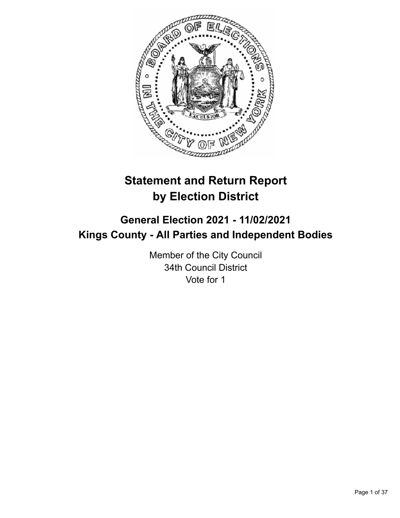

# **Statement and Return Report by Election District**

# **General Election 2021 - 11/02/2021 Kings County - All Parties and Independent Bodies**

Member of the City Council 34th Council District Vote for 1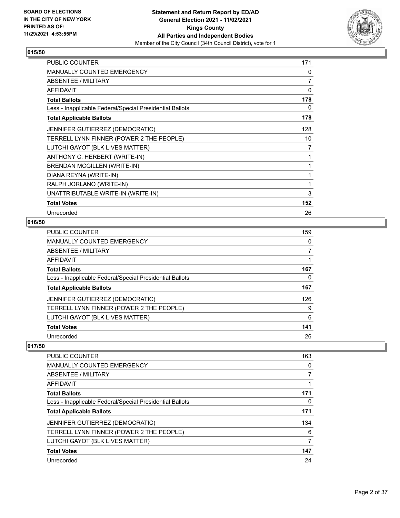

| PUBLIC COUNTER                                           | 171            |
|----------------------------------------------------------|----------------|
| <b>MANUALLY COUNTED EMERGENCY</b>                        | 0              |
| <b>ABSENTEE / MILITARY</b>                               | $\overline{7}$ |
| <b>AFFIDAVIT</b>                                         | 0              |
| <b>Total Ballots</b>                                     | 178            |
| Less - Inapplicable Federal/Special Presidential Ballots | 0              |
| <b>Total Applicable Ballots</b>                          | 178            |
| JENNIFER GUTIERREZ (DEMOCRATIC)                          | 128            |
| TERRELL LYNN FINNER (POWER 2 THE PEOPLE)                 | 10             |
| LUTCHI GAYOT (BLK LIVES MATTER)                          | 7              |
| ANTHONY C. HERBERT (WRITE-IN)                            | 1              |
| BRENDAN MCGILLEN (WRITE-IN)                              | 1              |
| DIANA REYNA (WRITE-IN)                                   | 1              |
| RALPH JORLANO (WRITE-IN)                                 | 1              |
| UNATTRIBUTABLE WRITE-IN (WRITE-IN)                       | 3              |
| <b>Total Votes</b>                                       | 152            |
| Unrecorded                                               | 26             |

# **016/50**

| PUBLIC COUNTER                                           | 159 |
|----------------------------------------------------------|-----|
| <b>MANUALLY COUNTED EMERGENCY</b>                        | 0   |
| ABSENTEE / MILITARY                                      |     |
| AFFIDAVIT                                                |     |
| <b>Total Ballots</b>                                     | 167 |
| Less - Inapplicable Federal/Special Presidential Ballots | 0   |
| <b>Total Applicable Ballots</b>                          | 167 |
| <b>JENNIFER GUTIERREZ (DEMOCRATIC)</b>                   | 126 |
| TERRELL LYNN FINNER (POWER 2 THE PEOPLE)                 | 9   |
| LUTCHI GAYOT (BLK LIVES MATTER)                          | 6   |
| <b>Total Votes</b>                                       | 141 |
| Unrecorded                                               | 26  |

| PUBLIC COUNTER                                           | 163 |
|----------------------------------------------------------|-----|
| <b>MANUALLY COUNTED EMERGENCY</b>                        | 0   |
| ABSENTEE / MILITARY                                      |     |
| AFFIDAVIT                                                |     |
| <b>Total Ballots</b>                                     | 171 |
| Less - Inapplicable Federal/Special Presidential Ballots | 0   |
| <b>Total Applicable Ballots</b>                          | 171 |
| <b>JENNIFER GUTIERREZ (DEMOCRATIC)</b>                   | 134 |
| TERRELL LYNN FINNER (POWER 2 THE PEOPLE)                 | 6   |
| LUTCHI GAYOT (BLK LIVES MATTER)                          | 7   |
| <b>Total Votes</b>                                       | 147 |
| Unrecorded                                               | 24  |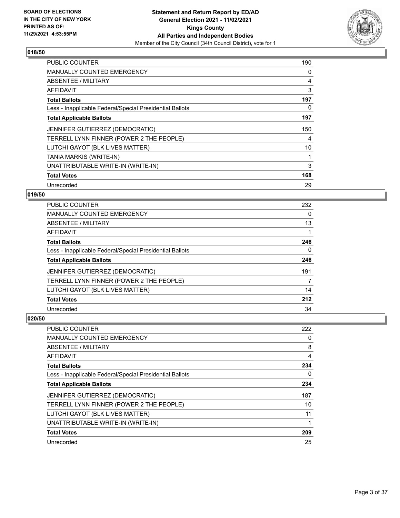

| <b>PUBLIC COUNTER</b>                                    | 190            |
|----------------------------------------------------------|----------------|
| <b>MANUALLY COUNTED EMERGENCY</b>                        | 0              |
| ABSENTEE / MILITARY                                      | $\overline{4}$ |
| AFFIDAVIT                                                | 3              |
| <b>Total Ballots</b>                                     | 197            |
| Less - Inapplicable Federal/Special Presidential Ballots | 0              |
| <b>Total Applicable Ballots</b>                          | 197            |
| JENNIFER GUTIERREZ (DEMOCRATIC)                          | 150            |
| TERRELL LYNN FINNER (POWER 2 THE PEOPLE)                 | 4              |
| LUTCHI GAYOT (BLK LIVES MATTER)                          | 10             |
| TANIA MARKIS (WRITE-IN)                                  | 1              |
| UNATTRIBUTABLE WRITE-IN (WRITE-IN)                       | 3              |
| <b>Total Votes</b>                                       | 168            |
| Unrecorded                                               | 29             |

# **019/50**

| <b>PUBLIC COUNTER</b>                                    | 232 |
|----------------------------------------------------------|-----|
| <b>MANUALLY COUNTED EMERGENCY</b>                        | 0   |
| ABSENTEE / MILITARY                                      | 13  |
| AFFIDAVIT                                                |     |
| <b>Total Ballots</b>                                     | 246 |
| Less - Inapplicable Federal/Special Presidential Ballots | 0   |
| <b>Total Applicable Ballots</b>                          | 246 |
| JENNIFER GUTIERREZ (DEMOCRATIC)                          | 191 |
| TERRELL LYNN FINNER (POWER 2 THE PEOPLE)                 | 7   |
| LUTCHI GAYOT (BLK LIVES MATTER)                          | 14  |
| <b>Total Votes</b>                                       | 212 |
| Unrecorded                                               | 34  |

| PUBLIC COUNTER                                           | 222 |
|----------------------------------------------------------|-----|
| <b>MANUALLY COUNTED EMERGENCY</b>                        | 0   |
| ABSENTEE / MILITARY                                      | 8   |
| AFFIDAVIT                                                | 4   |
| <b>Total Ballots</b>                                     | 234 |
| Less - Inapplicable Federal/Special Presidential Ballots | 0   |
| <b>Total Applicable Ballots</b>                          | 234 |
| <b>JENNIFER GUTIERREZ (DEMOCRATIC)</b>                   | 187 |
| TERRELL LYNN FINNER (POWER 2 THE PEOPLE)                 | 10  |
| LUTCHI GAYOT (BLK LIVES MATTER)                          | 11  |
| UNATTRIBUTABLE WRITE-IN (WRITE-IN)                       | 1   |
| <b>Total Votes</b>                                       | 209 |
| Unrecorded                                               | 25  |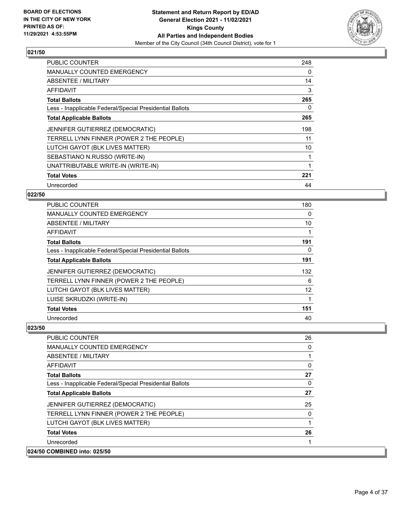

| <b>PUBLIC COUNTER</b>                                    | 248 |
|----------------------------------------------------------|-----|
| <b>MANUALLY COUNTED EMERGENCY</b>                        | 0   |
| ABSENTEE / MILITARY                                      | 14  |
| AFFIDAVIT                                                | 3   |
| <b>Total Ballots</b>                                     | 265 |
| Less - Inapplicable Federal/Special Presidential Ballots | 0   |
| <b>Total Applicable Ballots</b>                          | 265 |
| JENNIFER GUTIERREZ (DEMOCRATIC)                          | 198 |
| TERRELL LYNN FINNER (POWER 2 THE PEOPLE)                 | 11  |
| LUTCHI GAYOT (BLK LIVES MATTER)                          | 10  |
| SEBASTIANO N.RUSSO (WRITE-IN)                            |     |
| UNATTRIBUTABLE WRITE-IN (WRITE-IN)                       |     |
| <b>Total Votes</b>                                       | 221 |
| Unrecorded                                               | 44  |

# **022/50**

| PUBLIC COUNTER                                           | 180 |
|----------------------------------------------------------|-----|
| <b>MANUALLY COUNTED EMERGENCY</b>                        | 0   |
| ABSENTEE / MILITARY                                      | 10  |
| AFFIDAVIT                                                |     |
| <b>Total Ballots</b>                                     | 191 |
| Less - Inapplicable Federal/Special Presidential Ballots | 0   |
| <b>Total Applicable Ballots</b>                          | 191 |
| JENNIFER GUTIERREZ (DEMOCRATIC)                          | 132 |
| TERRELL LYNN FINNER (POWER 2 THE PEOPLE)                 | 6   |
| LUTCHI GAYOT (BLK LIVES MATTER)                          | 12  |
| LUISE SKRUDZKI (WRITE-IN)                                | 1   |
| <b>Total Votes</b>                                       | 151 |
| Unrecorded                                               | 40  |

| <b>PUBLIC COUNTER</b>                                    | 26       |
|----------------------------------------------------------|----------|
| <b>MANUALLY COUNTED EMERGENCY</b>                        | 0        |
| ABSENTEE / MILITARY                                      |          |
| AFFIDAVIT                                                | 0        |
| <b>Total Ballots</b>                                     | 27       |
| Less - Inapplicable Federal/Special Presidential Ballots | $\Omega$ |
| <b>Total Applicable Ballots</b>                          | 27       |
| <b>JENNIFER GUTIERREZ (DEMOCRATIC)</b>                   | 25       |
| TERRELL LYNN FINNER (POWER 2 THE PEOPLE)                 | 0        |
| LUTCHI GAYOT (BLK LIVES MATTER)                          |          |
| <b>Total Votes</b>                                       | 26       |
| Unrecorded                                               |          |
| 024/50 COMBINED into: 025/50                             |          |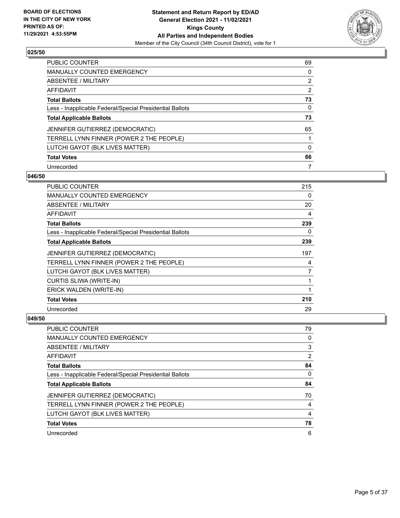

| PUBLIC COUNTER                                           | 69       |
|----------------------------------------------------------|----------|
| <b>MANUALLY COUNTED EMERGENCY</b>                        | 0        |
| ABSENTEE / MILITARY                                      | 2        |
| AFFIDAVIT                                                | 2        |
| <b>Total Ballots</b>                                     | 73       |
| Less - Inapplicable Federal/Special Presidential Ballots | 0        |
| <b>Total Applicable Ballots</b>                          | 73       |
| JENNIFER GUTIERREZ (DEMOCRATIC)                          | 65       |
| TERRELL LYNN FINNER (POWER 2 THE PEOPLE)                 |          |
| LUTCHI GAYOT (BLK LIVES MATTER)                          | $\Omega$ |
| <b>Total Votes</b>                                       | 66       |
| Unrecorded                                               |          |

#### **046/50**

| <b>PUBLIC COUNTER</b>                                    | 215 |
|----------------------------------------------------------|-----|
| <b>MANUALLY COUNTED EMERGENCY</b>                        | 0   |
| ABSENTEE / MILITARY                                      | 20  |
| AFFIDAVIT                                                | 4   |
| <b>Total Ballots</b>                                     | 239 |
| Less - Inapplicable Federal/Special Presidential Ballots | 0   |
| <b>Total Applicable Ballots</b>                          | 239 |
| JENNIFER GUTIERREZ (DEMOCRATIC)                          | 197 |
| TERRELL LYNN FINNER (POWER 2 THE PEOPLE)                 | 4   |
| LUTCHI GAYOT (BLK LIVES MATTER)                          | 7   |
| <b>CURTIS SLIWA (WRITE-IN)</b>                           |     |
| ERICK WALDEN (WRITE-IN)                                  | 1   |
| <b>Total Votes</b>                                       | 210 |
| Unrecorded                                               | 29  |

| <b>PUBLIC COUNTER</b>                                    | 79 |
|----------------------------------------------------------|----|
| <b>MANUALLY COUNTED EMERGENCY</b>                        | 0  |
| ABSENTEE / MILITARY                                      | 3  |
| AFFIDAVIT                                                | 2  |
| <b>Total Ballots</b>                                     | 84 |
| Less - Inapplicable Federal/Special Presidential Ballots | 0  |
| <b>Total Applicable Ballots</b>                          | 84 |
| JENNIFER GUTIERREZ (DEMOCRATIC)                          | 70 |
| TERRELL LYNN FINNER (POWER 2 THE PEOPLE)                 | 4  |
| LUTCHI GAYOT (BLK LIVES MATTER)                          | 4  |
| <b>Total Votes</b>                                       | 78 |
| Unrecorded                                               | 6  |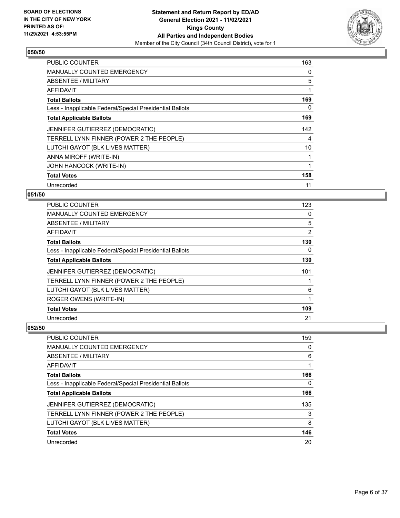

| <b>PUBLIC COUNTER</b>                                    | 163 |
|----------------------------------------------------------|-----|
| <b>MANUALLY COUNTED EMERGENCY</b>                        | 0   |
| ABSENTEE / MILITARY                                      | 5   |
| AFFIDAVIT                                                | 1   |
| <b>Total Ballots</b>                                     | 169 |
| Less - Inapplicable Federal/Special Presidential Ballots | 0   |
| <b>Total Applicable Ballots</b>                          | 169 |
| JENNIFER GUTIERREZ (DEMOCRATIC)                          | 142 |
| TERRELL LYNN FINNER (POWER 2 THE PEOPLE)                 | 4   |
| LUTCHI GAYOT (BLK LIVES MATTER)                          | 10  |
| ANNA MIROFF (WRITE-IN)                                   | 1   |
| JOHN HANCOCK (WRITE-IN)                                  | 1   |
| <b>Total Votes</b>                                       | 158 |
| Unrecorded                                               | 11  |

# **051/50**

| PUBLIC COUNTER                                           | 123 |
|----------------------------------------------------------|-----|
| <b>MANUALLY COUNTED EMERGENCY</b>                        | 0   |
| ABSENTEE / MILITARY                                      | 5   |
| AFFIDAVIT                                                | 2   |
| <b>Total Ballots</b>                                     | 130 |
| Less - Inapplicable Federal/Special Presidential Ballots | 0   |
| <b>Total Applicable Ballots</b>                          | 130 |
| JENNIFER GUTIERREZ (DEMOCRATIC)                          | 101 |
| TERRELL LYNN FINNER (POWER 2 THE PEOPLE)                 |     |
| LUTCHI GAYOT (BLK LIVES MATTER)                          | 6   |
| ROGER OWENS (WRITE-IN)                                   | 1   |
| <b>Total Votes</b>                                       | 109 |
| Unrecorded                                               | 21  |

| <b>PUBLIC COUNTER</b>                                    | 159 |
|----------------------------------------------------------|-----|
| <b>MANUALLY COUNTED EMERGENCY</b>                        | 0   |
| ABSENTEE / MILITARY                                      | 6   |
| AFFIDAVIT                                                |     |
| <b>Total Ballots</b>                                     | 166 |
| Less - Inapplicable Federal/Special Presidential Ballots | 0   |
| <b>Total Applicable Ballots</b>                          | 166 |
| JENNIFER GUTIERREZ (DEMOCRATIC)                          | 135 |
| TERRELL LYNN FINNER (POWER 2 THE PEOPLE)                 | 3   |
| LUTCHI GAYOT (BLK LIVES MATTER)                          | 8   |
| <b>Total Votes</b>                                       | 146 |
| Unrecorded                                               | 20  |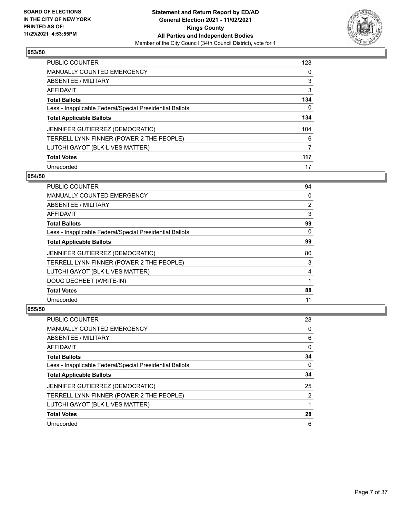

| <b>PUBLIC COUNTER</b>                                    | 128 |
|----------------------------------------------------------|-----|
| <b>MANUALLY COUNTED EMERGENCY</b>                        | 0   |
| ABSENTEE / MILITARY                                      | 3   |
| AFFIDAVIT                                                | 3   |
| <b>Total Ballots</b>                                     | 134 |
| Less - Inapplicable Federal/Special Presidential Ballots | 0   |
| <b>Total Applicable Ballots</b>                          | 134 |
| JENNIFER GUTIERREZ (DEMOCRATIC)                          | 104 |
| TERRELL LYNN FINNER (POWER 2 THE PEOPLE)                 | 6   |
| LUTCHI GAYOT (BLK LIVES MATTER)                          | 7   |
| <b>Total Votes</b>                                       | 117 |
| Unrecorded                                               | 17  |

#### **054/50**

| PUBLIC COUNTER                                           | 94             |
|----------------------------------------------------------|----------------|
| MANUALLY COUNTED EMERGENCY                               | 0              |
| ABSENTEE / MILITARY                                      | $\overline{2}$ |
| AFFIDAVIT                                                | 3              |
| <b>Total Ballots</b>                                     | 99             |
| Less - Inapplicable Federal/Special Presidential Ballots | $\Omega$       |
| <b>Total Applicable Ballots</b>                          | 99             |
| JENNIFER GUTIERREZ (DEMOCRATIC)                          | 80             |
| TERRELL LYNN FINNER (POWER 2 THE PEOPLE)                 | 3              |
| LUTCHI GAYOT (BLK LIVES MATTER)                          | 4              |
| DOUG DECHEET (WRITE-IN)                                  |                |
| <b>Total Votes</b>                                       | 88             |
| Unrecorded                                               | 11             |

| PUBLIC COUNTER                                           | 28 |
|----------------------------------------------------------|----|
| <b>MANUALLY COUNTED EMERGENCY</b>                        | 0  |
| ABSENTEE / MILITARY                                      | 6  |
| AFFIDAVIT                                                | 0  |
| <b>Total Ballots</b>                                     | 34 |
| Less - Inapplicable Federal/Special Presidential Ballots | 0  |
| <b>Total Applicable Ballots</b>                          | 34 |
| JENNIFER GUTIERREZ (DEMOCRATIC)                          | 25 |
| TERRELL LYNN FINNER (POWER 2 THE PEOPLE)                 | 2  |
| LUTCHI GAYOT (BLK LIVES MATTER)                          |    |
| <b>Total Votes</b>                                       | 28 |
| Unrecorded                                               | 6  |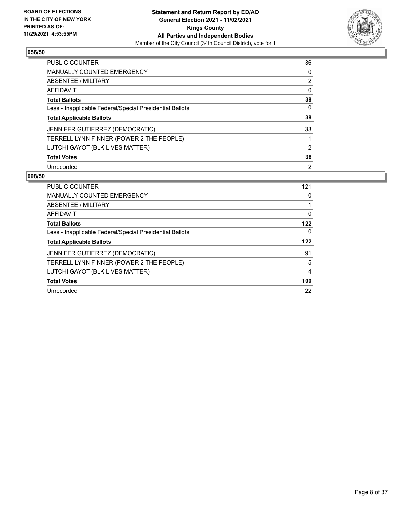

| <b>PUBLIC COUNTER</b>                                    | 36             |
|----------------------------------------------------------|----------------|
| <b>MANUALLY COUNTED EMERGENCY</b>                        | $\Omega$       |
| ABSENTEE / MILITARY                                      | 2              |
| AFFIDAVIT                                                | 0              |
| <b>Total Ballots</b>                                     | 38             |
| Less - Inapplicable Federal/Special Presidential Ballots | 0              |
| <b>Total Applicable Ballots</b>                          | 38             |
| JENNIFER GUTIERREZ (DEMOCRATIC)                          | 33             |
| TERRELL LYNN FINNER (POWER 2 THE PEOPLE)                 |                |
| LUTCHI GAYOT (BLK LIVES MATTER)                          | 2              |
| <b>Total Votes</b>                                       | 36             |
| Unrecorded                                               | $\overline{2}$ |

| <b>PUBLIC COUNTER</b>                                    | 121 |
|----------------------------------------------------------|-----|
| <b>MANUALLY COUNTED EMERGENCY</b>                        | 0   |
| ABSENTEE / MILITARY                                      |     |
| AFFIDAVIT                                                | 0   |
| <b>Total Ballots</b>                                     | 122 |
| Less - Inapplicable Federal/Special Presidential Ballots | 0   |
|                                                          |     |
| <b>Total Applicable Ballots</b>                          | 122 |
| <b>JENNIFER GUTIERREZ (DEMOCRATIC)</b>                   | 91  |
| TERRELL LYNN FINNER (POWER 2 THE PEOPLE)                 | 5   |
| LUTCHI GAYOT (BLK LIVES MATTER)                          | 4   |
| <b>Total Votes</b>                                       | 100 |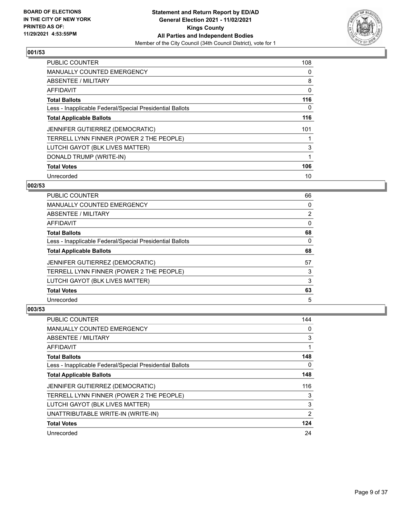

| <b>PUBLIC COUNTER</b>                                    | 108 |
|----------------------------------------------------------|-----|
| <b>MANUALLY COUNTED EMERGENCY</b>                        | 0   |
| ABSENTEE / MILITARY                                      | 8   |
| AFFIDAVIT                                                | 0   |
| <b>Total Ballots</b>                                     | 116 |
| Less - Inapplicable Federal/Special Presidential Ballots | 0   |
| <b>Total Applicable Ballots</b>                          | 116 |
| JENNIFER GUTIERREZ (DEMOCRATIC)                          | 101 |
| TERRELL LYNN FINNER (POWER 2 THE PEOPLE)                 |     |
| LUTCHI GAYOT (BLK LIVES MATTER)                          | 3   |
| DONALD TRUMP (WRITE-IN)                                  | 1   |
| <b>Total Votes</b>                                       | 106 |
| Unrecorded                                               | 10  |

# **002/53**

| <b>PUBLIC COUNTER</b>                                    | 66             |
|----------------------------------------------------------|----------------|
| <b>MANUALLY COUNTED EMERGENCY</b>                        | 0              |
| ABSENTEE / MILITARY                                      | $\overline{2}$ |
| AFFIDAVIT                                                | $\Omega$       |
| <b>Total Ballots</b>                                     | 68             |
| Less - Inapplicable Federal/Special Presidential Ballots | $\Omega$       |
| <b>Total Applicable Ballots</b>                          | 68             |
| <b>JENNIFER GUTIERREZ (DEMOCRATIC)</b>                   | 57             |
| TERRELL LYNN FINNER (POWER 2 THE PEOPLE)                 | 3              |
| LUTCHI GAYOT (BLK LIVES MATTER)                          | 3              |
| <b>Total Votes</b>                                       | 63             |
| Unrecorded                                               | 5              |

| <b>PUBLIC COUNTER</b>                                    | 144            |
|----------------------------------------------------------|----------------|
| <b>MANUALLY COUNTED EMERGENCY</b>                        | 0              |
| ABSENTEE / MILITARY                                      | 3              |
| AFFIDAVIT                                                |                |
| <b>Total Ballots</b>                                     | 148            |
| Less - Inapplicable Federal/Special Presidential Ballots | 0              |
| <b>Total Applicable Ballots</b>                          | 148            |
| <b>JENNIFER GUTIERREZ (DEMOCRATIC)</b>                   | 116            |
| TERRELL LYNN FINNER (POWER 2 THE PEOPLE)                 | 3              |
| LUTCHI GAYOT (BLK LIVES MATTER)                          | 3              |
| UNATTRIBUTABLE WRITE-IN (WRITE-IN)                       | $\overline{2}$ |
| <b>Total Votes</b>                                       | 124            |
| Unrecorded                                               | 24             |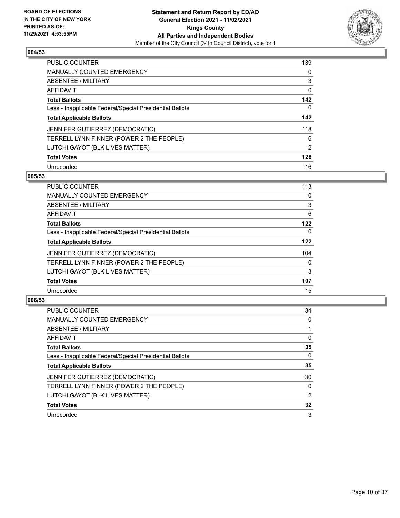

| PUBLIC COUNTER                                           | 139           |
|----------------------------------------------------------|---------------|
| MANUALLY COUNTED EMERGENCY                               | $\Omega$      |
| ABSENTEE / MILITARY                                      | 3             |
| AFFIDAVIT                                                | 0             |
| <b>Total Ballots</b>                                     | 142           |
| Less - Inapplicable Federal/Special Presidential Ballots | 0             |
| <b>Total Applicable Ballots</b>                          | 142           |
| JENNIFER GUTIERREZ (DEMOCRATIC)                          | 118           |
| TERRELL LYNN FINNER (POWER 2 THE PEOPLE)                 | 6             |
| LUTCHI GAYOT (BLK LIVES MATTER)                          | $\mathcal{P}$ |
| <b>Total Votes</b>                                       | 126           |
| Unrecorded                                               | 16            |

#### **005/53**

| <b>PUBLIC COUNTER</b>                                    | 113      |
|----------------------------------------------------------|----------|
| <b>MANUALLY COUNTED EMERGENCY</b>                        | $\Omega$ |
| ABSENTEE / MILITARY                                      | 3        |
| <b>AFFIDAVIT</b>                                         | 6        |
| <b>Total Ballots</b>                                     | 122      |
| Less - Inapplicable Federal/Special Presidential Ballots | $\Omega$ |
| <b>Total Applicable Ballots</b>                          | 122      |
| <b>JENNIFER GUTIERREZ (DEMOCRATIC)</b>                   | 104      |
| TERRELL LYNN FINNER (POWER 2 THE PEOPLE)                 | $\Omega$ |
| LUTCHI GAYOT (BLK LIVES MATTER)                          | 3        |
| <b>Total Votes</b>                                       | 107      |
| Unrecorded                                               | 15       |

| <b>PUBLIC COUNTER</b>                                    | 34       |
|----------------------------------------------------------|----------|
| <b>MANUALLY COUNTED EMERGENCY</b>                        | $\Omega$ |
| ABSENTEE / MILITARY                                      |          |
| AFFIDAVIT                                                | $\Omega$ |
| <b>Total Ballots</b>                                     | 35       |
| Less - Inapplicable Federal/Special Presidential Ballots | 0        |
| <b>Total Applicable Ballots</b>                          | 35       |
| JENNIFER GUTIERREZ (DEMOCRATIC)                          | 30       |
| TERRELL LYNN FINNER (POWER 2 THE PEOPLE)                 | 0        |
| LUTCHI GAYOT (BLK LIVES MATTER)                          | 2        |
| <b>Total Votes</b>                                       | 32       |
| Unrecorded                                               | 3        |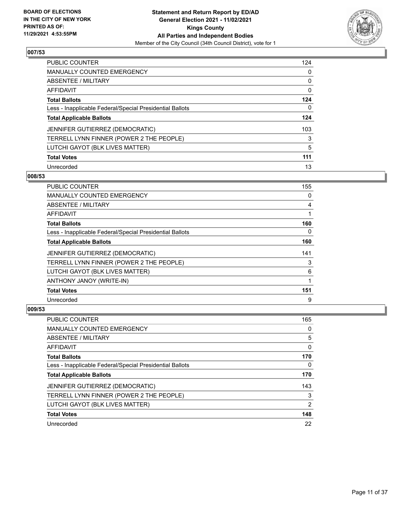

| PUBLIC COUNTER                                           | 124 |
|----------------------------------------------------------|-----|
| <b>MANUALLY COUNTED EMERGENCY</b>                        | 0   |
| ABSENTEE / MILITARY                                      | 0   |
| AFFIDAVIT                                                | 0   |
| <b>Total Ballots</b>                                     | 124 |
| Less - Inapplicable Federal/Special Presidential Ballots | 0   |
| <b>Total Applicable Ballots</b>                          | 124 |
| JENNIFER GUTIERREZ (DEMOCRATIC)                          | 103 |
| TERRELL LYNN FINNER (POWER 2 THE PEOPLE)                 | 3   |
| LUTCHI GAYOT (BLK LIVES MATTER)                          | 5   |
| <b>Total Votes</b>                                       | 111 |
| Unrecorded                                               | 13  |

#### **008/53**

| <b>PUBLIC COUNTER</b>                                    | 155         |
|----------------------------------------------------------|-------------|
| MANUALLY COUNTED EMERGENCY                               | 0           |
| ABSENTEE / MILITARY                                      | 4           |
| AFFIDAVIT                                                | 1           |
| <b>Total Ballots</b>                                     | 160         |
| Less - Inapplicable Federal/Special Presidential Ballots | 0           |
| <b>Total Applicable Ballots</b>                          | 160         |
| JENNIFER GUTIERREZ (DEMOCRATIC)                          | 141         |
| TERRELL LYNN FINNER (POWER 2 THE PEOPLE)                 | 3           |
| LUTCHI GAYOT (BLK LIVES MATTER)                          | 6           |
| ANTHONY JANOY (WRITE-IN)                                 | $\mathbf 1$ |
| <b>Total Votes</b>                                       | 151         |
| Unrecorded                                               | 9           |

| PUBLIC COUNTER                                           | 165           |
|----------------------------------------------------------|---------------|
| <b>MANUALLY COUNTED EMERGENCY</b>                        | 0             |
| ABSENTEE / MILITARY                                      | 5             |
| AFFIDAVIT                                                | 0             |
| <b>Total Ballots</b>                                     | 170           |
| Less - Inapplicable Federal/Special Presidential Ballots | 0             |
| <b>Total Applicable Ballots</b>                          | 170           |
| <b>JENNIFER GUTIERREZ (DEMOCRATIC)</b>                   | 143           |
| TERRELL LYNN FINNER (POWER 2 THE PEOPLE)                 | 3             |
| LUTCHI GAYOT (BLK LIVES MATTER)                          | $\mathcal{P}$ |
| <b>Total Votes</b>                                       | 148           |
|                                                          |               |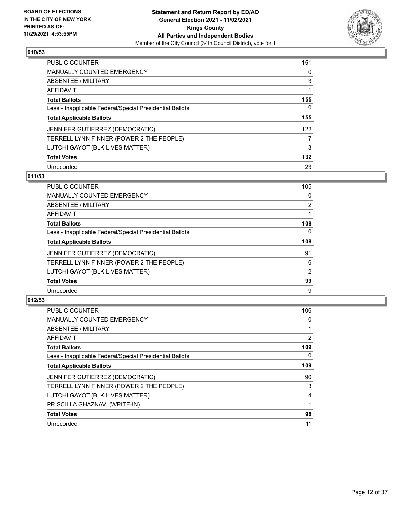

| <b>PUBLIC COUNTER</b>                                    | 151 |
|----------------------------------------------------------|-----|
| <b>MANUALLY COUNTED EMERGENCY</b>                        | 0   |
| <b>ABSENTEE / MILITARY</b>                               | 3   |
| AFFIDAVIT                                                |     |
| <b>Total Ballots</b>                                     | 155 |
| Less - Inapplicable Federal/Special Presidential Ballots | 0   |
| <b>Total Applicable Ballots</b>                          | 155 |
| JENNIFER GUTIERREZ (DEMOCRATIC)                          | 122 |
| TERRELL LYNN FINNER (POWER 2 THE PEOPLE)                 |     |
| LUTCHI GAYOT (BLK LIVES MATTER)                          | 3   |
| <b>Total Votes</b>                                       | 132 |
| Unrecorded                                               | 23  |

# **011/53**

| <b>PUBLIC COUNTER</b>                                    | 105            |
|----------------------------------------------------------|----------------|
| MANUALLY COUNTED EMERGENCY                               | $\Omega$       |
| ABSENTEE / MILITARY                                      | $\overline{2}$ |
| AFFIDAVIT                                                |                |
| <b>Total Ballots</b>                                     | 108            |
| Less - Inapplicable Federal/Special Presidential Ballots | $\Omega$       |
| <b>Total Applicable Ballots</b>                          | 108            |
| JENNIFER GUTIERREZ (DEMOCRATIC)                          | 91             |
| TERRELL LYNN FINNER (POWER 2 THE PEOPLE)                 | 6              |
| LUTCHI GAYOT (BLK LIVES MATTER)                          | 2              |
| <b>Total Votes</b>                                       | 99             |
| Unrecorded                                               | 9              |

| <b>PUBLIC COUNTER</b>                                    | 106 |
|----------------------------------------------------------|-----|
| <b>MANUALLY COUNTED EMERGENCY</b>                        | 0   |
| ABSENTEE / MILITARY                                      |     |
| AFFIDAVIT                                                | 2   |
| <b>Total Ballots</b>                                     | 109 |
| Less - Inapplicable Federal/Special Presidential Ballots | 0   |
| <b>Total Applicable Ballots</b>                          | 109 |
| JENNIFER GUTIERREZ (DEMOCRATIC)                          | 90  |
| TERRELL LYNN FINNER (POWER 2 THE PEOPLE)                 | 3   |
| LUTCHI GAYOT (BLK LIVES MATTER)                          | 4   |
| PRISCILLA GHAZNAVI (WRITE-IN)                            |     |
| <b>Total Votes</b>                                       | 98  |
| Unrecorded                                               | 11  |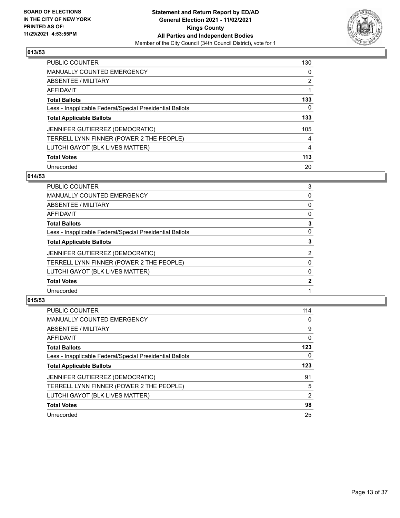

| PUBLIC COUNTER                                           | 130            |
|----------------------------------------------------------|----------------|
| <b>MANUALLY COUNTED EMERGENCY</b>                        | $\Omega$       |
| ABSENTEE / MILITARY                                      | $\overline{2}$ |
| AFFIDAVIT                                                |                |
| <b>Total Ballots</b>                                     | 133            |
| Less - Inapplicable Federal/Special Presidential Ballots | 0              |
| <b>Total Applicable Ballots</b>                          | 133            |
| JENNIFER GUTIERREZ (DEMOCRATIC)                          | 105            |
| TERRELL LYNN FINNER (POWER 2 THE PEOPLE)                 | 4              |
| LUTCHI GAYOT (BLK LIVES MATTER)                          | $\overline{4}$ |
| <b>Total Votes</b>                                       | 113            |
| Unrecorded                                               | 20             |

# **014/53**

| PUBLIC COUNTER                                           | 3              |
|----------------------------------------------------------|----------------|
| <b>MANUALLY COUNTED EMERGENCY</b>                        | 0              |
| ABSENTEE / MILITARY                                      | 0              |
| AFFIDAVIT                                                | 0              |
| <b>Total Ballots</b>                                     | 3              |
| Less - Inapplicable Federal/Special Presidential Ballots | $\Omega$       |
| <b>Total Applicable Ballots</b>                          | 3              |
| JENNIFER GUTIERREZ (DEMOCRATIC)                          | $\overline{2}$ |
| TERRELL LYNN FINNER (POWER 2 THE PEOPLE)                 | 0              |
| LUTCHI GAYOT (BLK LIVES MATTER)                          | 0              |
| <b>Total Votes</b>                                       | $\mathbf{2}$   |
| Unrecorded                                               |                |
|                                                          |                |

| <b>PUBLIC COUNTER</b>                                    | 114      |
|----------------------------------------------------------|----------|
| <b>MANUALLY COUNTED EMERGENCY</b>                        | 0        |
| <b>ABSENTEE / MILITARY</b>                               | 9        |
| <b>AFFIDAVIT</b>                                         | $\Omega$ |
| <b>Total Ballots</b>                                     | 123      |
| Less - Inapplicable Federal/Special Presidential Ballots | 0        |
| <b>Total Applicable Ballots</b>                          | 123      |
| JENNIFER GUTIERREZ (DEMOCRATIC)                          | 91       |
| TERRELL LYNN FINNER (POWER 2 THE PEOPLE)                 | 5        |
| LUTCHI GAYOT (BLK LIVES MATTER)                          | 2        |
| <b>Total Votes</b>                                       | 98       |
| Unrecorded                                               | 25       |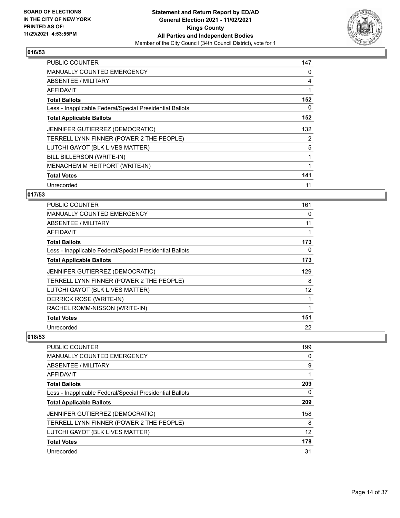

| <b>PUBLIC COUNTER</b>                                    | 147 |
|----------------------------------------------------------|-----|
| <b>MANUALLY COUNTED EMERGENCY</b>                        | 0   |
| <b>ABSENTEE / MILITARY</b>                               | 4   |
| AFFIDAVIT                                                | 1   |
| <b>Total Ballots</b>                                     | 152 |
| Less - Inapplicable Federal/Special Presidential Ballots | 0   |
| <b>Total Applicable Ballots</b>                          | 152 |
| JENNIFER GUTIERREZ (DEMOCRATIC)                          | 132 |
| TERRELL LYNN FINNER (POWER 2 THE PEOPLE)                 | 2   |
| LUTCHI GAYOT (BLK LIVES MATTER)                          | 5   |
| BILL BILLERSON (WRITE-IN)                                | 1   |
| MENACHEM M REITPORT (WRITE-IN)                           |     |
| <b>Total Votes</b>                                       | 141 |
| Unrecorded                                               | 11  |

# **017/53**

| <b>PUBLIC COUNTER</b>                                    | 161 |
|----------------------------------------------------------|-----|
| MANUALLY COUNTED EMERGENCY                               | 0   |
| ABSENTEE / MILITARY                                      | 11  |
| AFFIDAVIT                                                |     |
| <b>Total Ballots</b>                                     | 173 |
| Less - Inapplicable Federal/Special Presidential Ballots | 0   |
| <b>Total Applicable Ballots</b>                          | 173 |
| JENNIFER GUTIERREZ (DEMOCRATIC)                          | 129 |
| TERRELL LYNN FINNER (POWER 2 THE PEOPLE)                 | 8   |
| LUTCHI GAYOT (BLK LIVES MATTER)                          | 12  |
| DERRICK ROSE (WRITE-IN)                                  |     |
| RACHEL ROMM-NISSON (WRITE-IN)                            |     |
| <b>Total Votes</b>                                       | 151 |
| Unrecorded                                               | 22  |

| PUBLIC COUNTER                                           | 199 |
|----------------------------------------------------------|-----|
| <b>MANUALLY COUNTED EMERGENCY</b>                        | 0   |
| ABSENTEE / MILITARY                                      | 9   |
| AFFIDAVIT                                                |     |
| <b>Total Ballots</b>                                     | 209 |
| Less - Inapplicable Federal/Special Presidential Ballots | 0   |
| <b>Total Applicable Ballots</b>                          | 209 |
| JENNIFER GUTIERREZ (DEMOCRATIC)                          | 158 |
| TERRELL LYNN FINNER (POWER 2 THE PEOPLE)                 | 8   |
| LUTCHI GAYOT (BLK LIVES MATTER)                          | 12  |
| <b>Total Votes</b>                                       | 178 |
| Unrecorded                                               | 31  |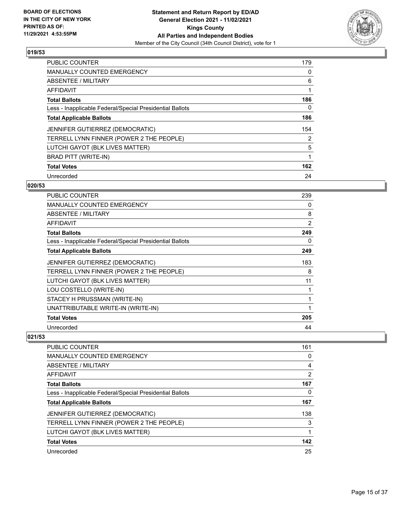

| <b>PUBLIC COUNTER</b>                                    | 179      |
|----------------------------------------------------------|----------|
| MANUALLY COUNTED EMERGENCY                               | 0        |
| ABSENTEE / MILITARY                                      | 6        |
| AFFIDAVIT                                                |          |
| <b>Total Ballots</b>                                     | 186      |
| Less - Inapplicable Federal/Special Presidential Ballots | $\Omega$ |
| <b>Total Applicable Ballots</b>                          | 186      |
| JENNIFER GUTIERREZ (DEMOCRATIC)                          | 154      |
| TERRELL LYNN FINNER (POWER 2 THE PEOPLE)                 | 2        |
| LUTCHI GAYOT (BLK LIVES MATTER)                          | 5        |
| BRAD PITT (WRITE-IN)                                     | 1        |
| <b>Total Votes</b>                                       | 162      |
| Unrecorded                                               | 24       |

### **020/53**

| <b>PUBLIC COUNTER</b>                                    | 239            |
|----------------------------------------------------------|----------------|
| MANUALLY COUNTED EMERGENCY                               | 0              |
| ABSENTEE / MILITARY                                      | 8              |
| <b>AFFIDAVIT</b>                                         | $\overline{2}$ |
| <b>Total Ballots</b>                                     | 249            |
| Less - Inapplicable Federal/Special Presidential Ballots | 0              |
| <b>Total Applicable Ballots</b>                          | 249            |
| JENNIFER GUTIERREZ (DEMOCRATIC)                          | 183            |
| TERRELL LYNN FINNER (POWER 2 THE PEOPLE)                 | 8              |
| LUTCHI GAYOT (BLK LIVES MATTER)                          | 11             |
| LOU COSTELLO (WRITE-IN)                                  | 1              |
| STACEY H PRUSSMAN (WRITE-IN)                             |                |
| UNATTRIBUTABLE WRITE-IN (WRITE-IN)                       | 1              |
| <b>Total Votes</b>                                       | 205            |
| Unrecorded                                               | 44             |

| <b>PUBLIC COUNTER</b>                                    | 161 |
|----------------------------------------------------------|-----|
| <b>MANUALLY COUNTED EMERGENCY</b>                        | 0   |
| ABSENTEE / MILITARY                                      | 4   |
| AFFIDAVIT                                                | 2   |
| <b>Total Ballots</b>                                     | 167 |
| Less - Inapplicable Federal/Special Presidential Ballots | 0   |
| <b>Total Applicable Ballots</b>                          | 167 |
| <b>JENNIFER GUTIERREZ (DEMOCRATIC)</b>                   | 138 |
| TERRELL LYNN FINNER (POWER 2 THE PEOPLE)                 | 3   |
| LUTCHI GAYOT (BLK LIVES MATTER)                          |     |
| <b>Total Votes</b>                                       | 142 |
| Unrecorded                                               | 25  |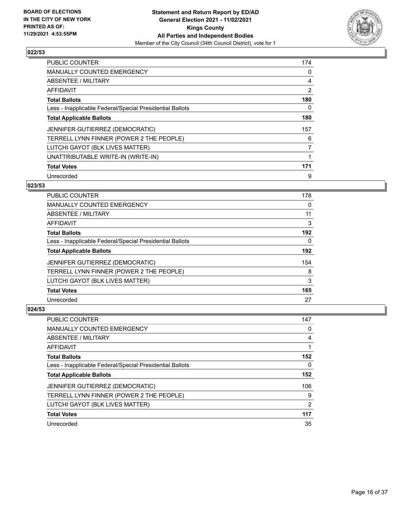

| <b>PUBLIC COUNTER</b>                                    | 174 |
|----------------------------------------------------------|-----|
| MANUALLY COUNTED EMERGENCY                               | 0   |
| ABSENTEE / MILITARY                                      | 4   |
| <b>AFFIDAVIT</b>                                         | 2   |
| <b>Total Ballots</b>                                     | 180 |
| Less - Inapplicable Federal/Special Presidential Ballots | 0   |
| <b>Total Applicable Ballots</b>                          | 180 |
| JENNIFER GUTIERREZ (DEMOCRATIC)                          | 157 |
| TERRELL LYNN FINNER (POWER 2 THE PEOPLE)                 | 6   |
| LUTCHI GAYOT (BLK LIVES MATTER)                          | 7   |
| UNATTRIBUTABLE WRITE-IN (WRITE-IN)                       |     |
| <b>Total Votes</b>                                       | 171 |
| Unrecorded                                               | 9   |

# **023/53**

| <b>PUBLIC COUNTER</b>                                    | 178      |
|----------------------------------------------------------|----------|
| <b>MANUALLY COUNTED EMERGENCY</b>                        | 0        |
| ABSENTEE / MILITARY                                      | 11       |
| AFFIDAVIT                                                | 3        |
| <b>Total Ballots</b>                                     | 192      |
| Less - Inapplicable Federal/Special Presidential Ballots | $\Omega$ |
| <b>Total Applicable Ballots</b>                          | 192      |
| <b>JENNIFER GUTIERREZ (DEMOCRATIC)</b>                   | 154      |
| TERRELL LYNN FINNER (POWER 2 THE PEOPLE)                 | 8        |
| LUTCHI GAYOT (BLK LIVES MATTER)                          | 3        |
| <b>Total Votes</b>                                       | 165      |
| Unrecorded                                               | 27       |

| PUBLIC COUNTER                                           | 147            |
|----------------------------------------------------------|----------------|
| MANUALLY COUNTED EMERGENCY                               | 0              |
| ABSENTEE / MILITARY                                      | 4              |
| AFFIDAVIT                                                |                |
| <b>Total Ballots</b>                                     | 152            |
| Less - Inapplicable Federal/Special Presidential Ballots | 0              |
| <b>Total Applicable Ballots</b>                          | 152            |
| JENNIFER GUTIERREZ (DEMOCRATIC)                          | 106            |
| TERRELL LYNN FINNER (POWER 2 THE PEOPLE)                 | 9              |
| LUTCHI GAYOT (BLK LIVES MATTER)                          | $\overline{2}$ |
| <b>Total Votes</b>                                       | 117            |
| Unrecorded                                               | 35             |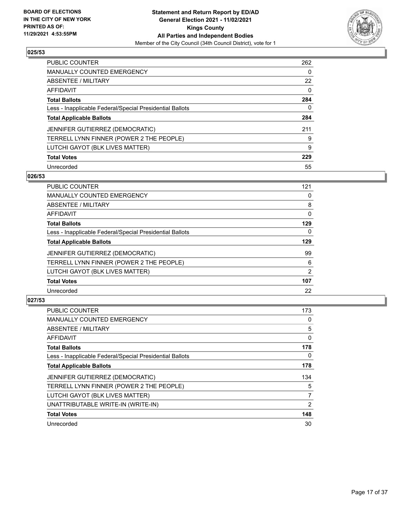

| <b>PUBLIC COUNTER</b>                                    | 262      |
|----------------------------------------------------------|----------|
| MANUALLY COUNTED EMERGENCY                               | $\Omega$ |
| <b>ABSENTEE / MILITARY</b>                               | 22       |
| AFFIDAVIT                                                | $\Omega$ |
| <b>Total Ballots</b>                                     | 284      |
| Less - Inapplicable Federal/Special Presidential Ballots | 0        |
| <b>Total Applicable Ballots</b>                          | 284      |
| <b>JENNIFER GUTIERREZ (DEMOCRATIC)</b>                   | 211      |
| TERRELL LYNN FINNER (POWER 2 THE PEOPLE)                 | 9        |
| LUTCHI GAYOT (BLK LIVES MATTER)                          | 9        |
| <b>Total Votes</b>                                       | 229      |
| Unrecorded                                               | 55       |

#### **026/53**

| <b>PUBLIC COUNTER</b>                                    | 121      |
|----------------------------------------------------------|----------|
| <b>MANUALLY COUNTED EMERGENCY</b>                        | 0        |
| ABSENTEE / MILITARY                                      | 8        |
| <b>AFFIDAVIT</b>                                         | $\Omega$ |
| <b>Total Ballots</b>                                     | 129      |
| Less - Inapplicable Federal/Special Presidential Ballots | $\Omega$ |
| <b>Total Applicable Ballots</b>                          | 129      |
| <b>JENNIFER GUTIERREZ (DEMOCRATIC)</b>                   | 99       |
| TERRELL LYNN FINNER (POWER 2 THE PEOPLE)                 | 6        |
| LUTCHI GAYOT (BLK LIVES MATTER)                          | 2        |
| <b>Total Votes</b>                                       | 107      |
| Unrecorded                                               | 22       |

| <b>PUBLIC COUNTER</b>                                    | 173            |
|----------------------------------------------------------|----------------|
| <b>MANUALLY COUNTED EMERGENCY</b>                        | 0              |
| ABSENTEE / MILITARY                                      | 5              |
| AFFIDAVIT                                                | 0              |
| <b>Total Ballots</b>                                     | 178            |
| Less - Inapplicable Federal/Special Presidential Ballots | 0              |
| <b>Total Applicable Ballots</b>                          | 178            |
| JENNIFER GUTIERREZ (DEMOCRATIC)                          | 134            |
| TERRELL LYNN FINNER (POWER 2 THE PEOPLE)                 | 5              |
| LUTCHI GAYOT (BLK LIVES MATTER)                          | 7              |
| UNATTRIBUTABLE WRITE-IN (WRITE-IN)                       | $\overline{2}$ |
| <b>Total Votes</b>                                       | 148            |
| Unrecorded                                               | 30             |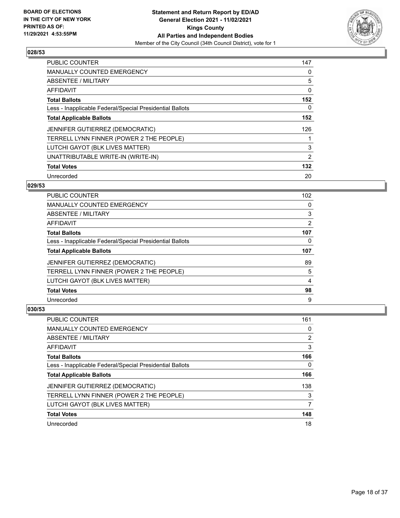

| <b>PUBLIC COUNTER</b>                                    | 147      |
|----------------------------------------------------------|----------|
| <b>MANUALLY COUNTED EMERGENCY</b>                        | 0        |
| ABSENTEE / MILITARY                                      | 5        |
| AFFIDAVIT                                                | $\Omega$ |
| <b>Total Ballots</b>                                     | 152      |
| Less - Inapplicable Federal/Special Presidential Ballots | 0        |
| <b>Total Applicable Ballots</b>                          | 152      |
| JENNIFER GUTIERREZ (DEMOCRATIC)                          | 126      |
| TERRELL LYNN FINNER (POWER 2 THE PEOPLE)                 |          |
| LUTCHI GAYOT (BLK LIVES MATTER)                          | 3        |
| UNATTRIBUTABLE WRITE-IN (WRITE-IN)                       | 2        |
| <b>Total Votes</b>                                       | 132      |
| Unrecorded                                               | 20       |

### **029/53**

| <b>PUBLIC COUNTER</b>                                    | 102 |
|----------------------------------------------------------|-----|
| <b>MANUALLY COUNTED EMERGENCY</b>                        | 0   |
| ABSENTEE / MILITARY                                      | 3   |
| <b>AFFIDAVIT</b>                                         | 2   |
| <b>Total Ballots</b>                                     | 107 |
| Less - Inapplicable Federal/Special Presidential Ballots | 0   |
| <b>Total Applicable Ballots</b>                          | 107 |
| <b>JENNIFER GUTIERREZ (DEMOCRATIC)</b>                   | 89  |
| TERRELL LYNN FINNER (POWER 2 THE PEOPLE)                 | 5   |
| LUTCHI GAYOT (BLK LIVES MATTER)                          | 4   |
| <b>Total Votes</b>                                       | 98  |
| Unrecorded                                               | 9   |

| PUBLIC COUNTER                                           | 161 |
|----------------------------------------------------------|-----|
| <b>MANUALLY COUNTED EMERGENCY</b>                        | 0   |
| ABSENTEE / MILITARY                                      | 2   |
| AFFIDAVIT                                                | 3   |
| <b>Total Ballots</b>                                     | 166 |
| Less - Inapplicable Federal/Special Presidential Ballots | 0   |
| <b>Total Applicable Ballots</b>                          | 166 |
| JENNIFER GUTIERREZ (DEMOCRATIC)                          | 138 |
| TERRELL LYNN FINNER (POWER 2 THE PEOPLE)                 | 3   |
| LUTCHI GAYOT (BLK LIVES MATTER)                          |     |
| <b>Total Votes</b>                                       | 148 |
| Unrecorded                                               | 18  |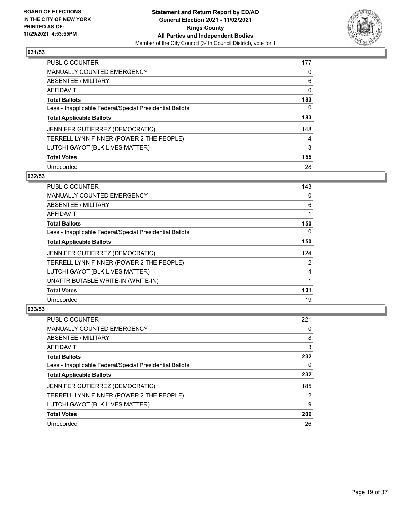

| PUBLIC COUNTER                                           | 177      |
|----------------------------------------------------------|----------|
| <b>MANUALLY COUNTED EMERGENCY</b>                        | $\Omega$ |
| ABSENTEE / MILITARY                                      | 6        |
| AFFIDAVIT                                                | 0        |
| <b>Total Ballots</b>                                     | 183      |
| Less - Inapplicable Federal/Special Presidential Ballots | 0        |
| <b>Total Applicable Ballots</b>                          | 183      |
| JENNIFER GUTIERREZ (DEMOCRATIC)                          | 148      |
| TERRELL LYNN FINNER (POWER 2 THE PEOPLE)                 | 4        |
| LUTCHI GAYOT (BLK LIVES MATTER)                          | 3        |
| <b>Total Votes</b>                                       | 155      |
| Unrecorded                                               | 28       |

#### **032/53**

| <b>PUBLIC COUNTER</b>                                    | 143      |
|----------------------------------------------------------|----------|
| <b>MANUALLY COUNTED EMERGENCY</b>                        | 0        |
| ABSENTEE / MILITARY                                      | 6        |
| AFFIDAVIT                                                |          |
| <b>Total Ballots</b>                                     | 150      |
| Less - Inapplicable Federal/Special Presidential Ballots | $\Omega$ |
| <b>Total Applicable Ballots</b>                          | 150      |
| <b>JENNIFER GUTIERREZ (DEMOCRATIC)</b>                   | 124      |
| TERRELL LYNN FINNER (POWER 2 THE PEOPLE)                 | 2        |
| LUTCHI GAYOT (BLK LIVES MATTER)                          | 4        |
| UNATTRIBUTABLE WRITE-IN (WRITE-IN)                       |          |
| <b>Total Votes</b>                                       | 131      |
| Unrecorded                                               | 19       |

| <b>PUBLIC COUNTER</b>                                    | 221 |
|----------------------------------------------------------|-----|
| <b>MANUALLY COUNTED EMERGENCY</b>                        | 0   |
| ABSENTEE / MILITARY                                      | 8   |
| AFFIDAVIT                                                | 3   |
| <b>Total Ballots</b>                                     | 232 |
| Less - Inapplicable Federal/Special Presidential Ballots | 0   |
| <b>Total Applicable Ballots</b>                          | 232 |
| JENNIFER GUTIERREZ (DEMOCRATIC)                          | 185 |
| TERRELL LYNN FINNER (POWER 2 THE PEOPLE)                 | 12  |
| LUTCHI GAYOT (BLK LIVES MATTER)                          | 9   |
| <b>Total Votes</b>                                       | 206 |
|                                                          |     |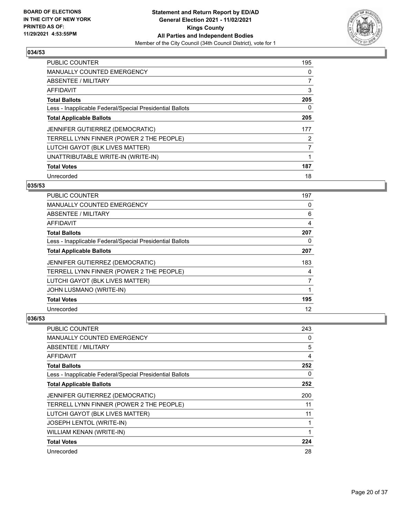

| <b>PUBLIC COUNTER</b>                                    | 195 |
|----------------------------------------------------------|-----|
| <b>MANUALLY COUNTED EMERGENCY</b>                        | 0   |
| ABSENTEE / MILITARY                                      | 7   |
| AFFIDAVIT                                                | 3   |
| <b>Total Ballots</b>                                     | 205 |
| Less - Inapplicable Federal/Special Presidential Ballots | 0   |
| <b>Total Applicable Ballots</b>                          | 205 |
| <b>JENNIFER GUTIERREZ (DEMOCRATIC)</b>                   | 177 |
| TERRELL LYNN FINNER (POWER 2 THE PEOPLE)                 | 2   |
| LUTCHI GAYOT (BLK LIVES MATTER)                          | 7   |
| UNATTRIBUTABLE WRITE-IN (WRITE-IN)                       | 1   |
| <b>Total Votes</b>                                       | 187 |
| Unrecorded                                               | 18  |

### **035/53**

| PUBLIC COUNTER                                           | 197            |
|----------------------------------------------------------|----------------|
| MANUALLY COUNTED EMERGENCY                               | 0              |
| ABSENTEE / MILITARY                                      | 6              |
| AFFIDAVIT                                                | $\overline{4}$ |
| <b>Total Ballots</b>                                     | 207            |
| Less - Inapplicable Federal/Special Presidential Ballots | 0              |
| <b>Total Applicable Ballots</b>                          | 207            |
| JENNIFER GUTIERREZ (DEMOCRATIC)                          | 183            |
| TERRELL LYNN FINNER (POWER 2 THE PEOPLE)                 | 4              |
| LUTCHI GAYOT (BLK LIVES MATTER)                          | 7              |
| JOHN LUSMANO (WRITE-IN)                                  | 1              |
| <b>Total Votes</b>                                       | 195            |
| Unrecorded                                               | 12             |

| PUBLIC COUNTER                                           | 243 |
|----------------------------------------------------------|-----|
| MANUALLY COUNTED EMERGENCY                               | 0   |
| ABSENTEE / MILITARY                                      | 5   |
| AFFIDAVIT                                                | 4   |
| <b>Total Ballots</b>                                     | 252 |
| Less - Inapplicable Federal/Special Presidential Ballots | 0   |
| <b>Total Applicable Ballots</b>                          | 252 |
| JENNIFER GUTIERREZ (DEMOCRATIC)                          | 200 |
| TERRELL LYNN FINNER (POWER 2 THE PEOPLE)                 | 11  |
| LUTCHI GAYOT (BLK LIVES MATTER)                          | 11  |
| <b>JOSEPH LENTOL (WRITE-IN)</b>                          |     |
| WILLIAM KENAN (WRITE-IN)                                 |     |
| <b>Total Votes</b>                                       | 224 |
| Unrecorded                                               | 28  |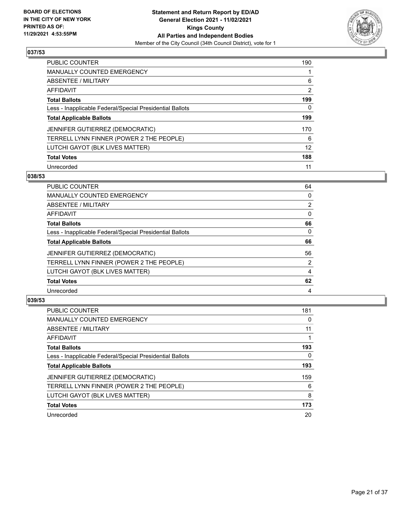

| PUBLIC COUNTER                                           | 190 |
|----------------------------------------------------------|-----|
| <b>MANUALLY COUNTED EMERGENCY</b>                        |     |
| ABSENTEE / MILITARY                                      | 6   |
| AFFIDAVIT                                                | 2   |
| <b>Total Ballots</b>                                     | 199 |
| Less - Inapplicable Federal/Special Presidential Ballots | 0   |
| <b>Total Applicable Ballots</b>                          | 199 |
| JENNIFER GUTIERREZ (DEMOCRATIC)                          | 170 |
| TERRELL LYNN FINNER (POWER 2 THE PEOPLE)                 | 6   |
| LUTCHI GAYOT (BLK LIVES MATTER)                          | 12  |
| <b>Total Votes</b>                                       | 188 |
| Unrecorded                                               | 11  |

#### **038/53**

| <b>PUBLIC COUNTER</b>                                    | 64             |
|----------------------------------------------------------|----------------|
| MANUALLY COUNTED EMERGENCY                               | 0              |
| ABSENTEE / MILITARY                                      | $\overline{2}$ |
| <b>AFFIDAVIT</b>                                         | $\Omega$       |
| <b>Total Ballots</b>                                     | 66             |
| Less - Inapplicable Federal/Special Presidential Ballots | $\Omega$       |
| <b>Total Applicable Ballots</b>                          | 66             |
| JENNIFER GUTIERREZ (DEMOCRATIC)                          | 56             |
| TERRELL LYNN FINNER (POWER 2 THE PEOPLE)                 | 2              |
| LUTCHI GAYOT (BLK LIVES MATTER)                          | 4              |
| <b>Total Votes</b>                                       | 62             |
| Unrecorded                                               | 4              |

| <b>PUBLIC COUNTER</b>                                    | 181 |
|----------------------------------------------------------|-----|
| <b>MANUALLY COUNTED EMERGENCY</b>                        | 0   |
| ABSENTEE / MILITARY                                      | 11  |
| AFFIDAVIT                                                |     |
| <b>Total Ballots</b>                                     | 193 |
| Less - Inapplicable Federal/Special Presidential Ballots | 0   |
| <b>Total Applicable Ballots</b>                          | 193 |
| JENNIFER GUTIERREZ (DEMOCRATIC)                          | 159 |
| TERRELL LYNN FINNER (POWER 2 THE PEOPLE)                 | 6   |
| LUTCHI GAYOT (BLK LIVES MATTER)                          | 8   |
| <b>Total Votes</b>                                       | 173 |
| Unrecorded                                               | 20  |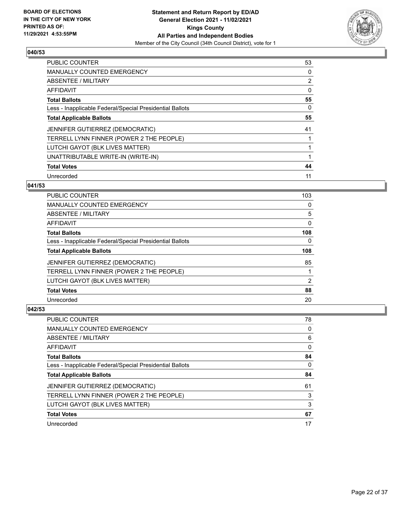

| <b>PUBLIC COUNTER</b>                                    | 53 |
|----------------------------------------------------------|----|
| MANUALLY COUNTED EMERGENCY                               | 0  |
| ABSENTEE / MILITARY                                      | 2  |
| AFFIDAVIT                                                | 0  |
| <b>Total Ballots</b>                                     | 55 |
| Less - Inapplicable Federal/Special Presidential Ballots | 0  |
| <b>Total Applicable Ballots</b>                          | 55 |
| <b>JENNIFER GUTIERREZ (DEMOCRATIC)</b>                   | 41 |
| TERRELL LYNN FINNER (POWER 2 THE PEOPLE)                 |    |
| LUTCHI GAYOT (BLK LIVES MATTER)                          |    |
| UNATTRIBUTABLE WRITE-IN (WRITE-IN)                       |    |
| <b>Total Votes</b>                                       | 44 |
| Unrecorded                                               | 11 |

# **041/53**

| <b>PUBLIC COUNTER</b>                                    | 103      |
|----------------------------------------------------------|----------|
| <b>MANUALLY COUNTED EMERGENCY</b>                        | 0        |
| ABSENTEE / MILITARY                                      | 5        |
| <b>AFFIDAVIT</b>                                         | 0        |
| <b>Total Ballots</b>                                     | 108      |
| Less - Inapplicable Federal/Special Presidential Ballots | $\Omega$ |
| <b>Total Applicable Ballots</b>                          | 108      |
| JENNIFER GUTIERREZ (DEMOCRATIC)                          | 85       |
| TERRELL LYNN FINNER (POWER 2 THE PEOPLE)                 |          |
| LUTCHI GAYOT (BLK LIVES MATTER)                          | 2        |
| <b>Total Votes</b>                                       | 88       |
| Unrecorded                                               | 20       |

| <b>PUBLIC COUNTER</b>                                    | 78 |
|----------------------------------------------------------|----|
| <b>MANUALLY COUNTED EMERGENCY</b>                        | 0  |
| ABSENTEE / MILITARY                                      | 6  |
| AFFIDAVIT                                                | 0  |
| <b>Total Ballots</b>                                     | 84 |
| Less - Inapplicable Federal/Special Presidential Ballots | 0  |
|                                                          |    |
| <b>Total Applicable Ballots</b>                          | 84 |
| JENNIFER GUTIERREZ (DEMOCRATIC)                          | 61 |
| TERRELL LYNN FINNER (POWER 2 THE PEOPLE)                 | 3  |
| LUTCHI GAYOT (BLK LIVES MATTER)                          | 3  |
| <b>Total Votes</b>                                       | 67 |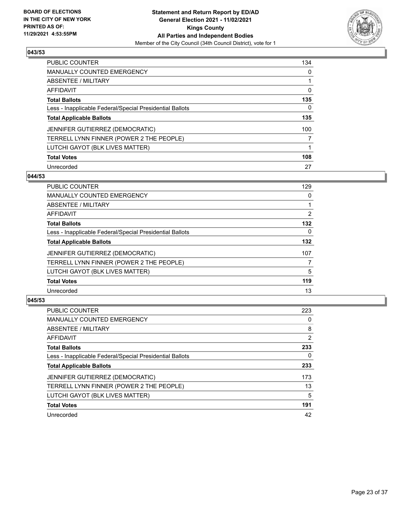

| PUBLIC COUNTER                                           | 134 |
|----------------------------------------------------------|-----|
| MANUALLY COUNTED EMERGENCY                               | 0   |
| ABSENTEE / MILITARY                                      |     |
| AFFIDAVIT                                                | 0   |
| <b>Total Ballots</b>                                     | 135 |
| Less - Inapplicable Federal/Special Presidential Ballots | 0   |
| <b>Total Applicable Ballots</b>                          | 135 |
| <b>JENNIFER GUTIERREZ (DEMOCRATIC)</b>                   | 100 |
| TERRELL LYNN FINNER (POWER 2 THE PEOPLE)                 |     |
| LUTCHI GAYOT (BLK LIVES MATTER)                          |     |
| <b>Total Votes</b>                                       | 108 |
| Unrecorded                                               | 27  |

#### **044/53**

| <b>PUBLIC COUNTER</b>                                    | 129      |
|----------------------------------------------------------|----------|
| <b>MANUALLY COUNTED EMERGENCY</b>                        | 0        |
| ABSENTEE / MILITARY                                      |          |
| <b>AFFIDAVIT</b>                                         | 2        |
| <b>Total Ballots</b>                                     | 132      |
| Less - Inapplicable Federal/Special Presidential Ballots | $\Omega$ |
| <b>Total Applicable Ballots</b>                          | 132      |
| <b>JENNIFER GUTIERREZ (DEMOCRATIC)</b>                   | 107      |
| TERRELL LYNN FINNER (POWER 2 THE PEOPLE)                 | 7        |
| LUTCHI GAYOT (BLK LIVES MATTER)                          | 5        |
| <b>Total Votes</b>                                       | 119      |
| Unrecorded                                               | 13       |

| <b>PUBLIC COUNTER</b>                                    | 223            |
|----------------------------------------------------------|----------------|
| <b>MANUALLY COUNTED EMERGENCY</b>                        | 0              |
| ABSENTEE / MILITARY                                      | 8              |
| AFFIDAVIT                                                | $\overline{2}$ |
| <b>Total Ballots</b>                                     | 233            |
| Less - Inapplicable Federal/Special Presidential Ballots | 0              |
| <b>Total Applicable Ballots</b>                          | 233            |
| JENNIFER GUTIERREZ (DEMOCRATIC)                          | 173            |
| TERRELL LYNN FINNER (POWER 2 THE PEOPLE)                 | 13             |
| LUTCHI GAYOT (BLK LIVES MATTER)                          | 5              |
| <b>Total Votes</b>                                       | 191            |
| Unrecorded                                               | 42             |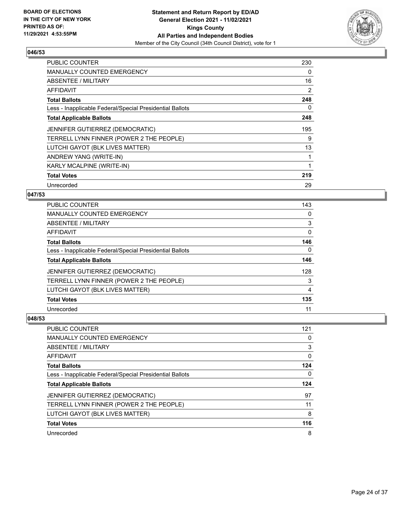

| PUBLIC COUNTER                                           | 230 |
|----------------------------------------------------------|-----|
| <b>MANUALLY COUNTED EMERGENCY</b>                        | 0   |
| ABSENTEE / MILITARY                                      | 16  |
| AFFIDAVIT                                                | 2   |
| <b>Total Ballots</b>                                     | 248 |
| Less - Inapplicable Federal/Special Presidential Ballots | 0   |
| <b>Total Applicable Ballots</b>                          | 248 |
| JENNIFER GUTIERREZ (DEMOCRATIC)                          | 195 |
| TERRELL LYNN FINNER (POWER 2 THE PEOPLE)                 | 9   |
| LUTCHI GAYOT (BLK LIVES MATTER)                          | 13  |
| ANDREW YANG (WRITE-IN)                                   | 1   |
| KARLY MCALPINE (WRITE-IN)                                | 1   |
| <b>Total Votes</b>                                       | 219 |
| Unrecorded                                               | 29  |

# **047/53**

| PUBLIC COUNTER                                           | 143 |
|----------------------------------------------------------|-----|
| <b>MANUALLY COUNTED EMERGENCY</b>                        | 0   |
| ABSENTEE / MILITARY                                      | 3   |
| AFFIDAVIT                                                | 0   |
| <b>Total Ballots</b>                                     | 146 |
| Less - Inapplicable Federal/Special Presidential Ballots | 0   |
| <b>Total Applicable Ballots</b>                          | 146 |
| <b>JENNIFER GUTIERREZ (DEMOCRATIC)</b>                   | 128 |
| TERRELL LYNN FINNER (POWER 2 THE PEOPLE)                 | 3   |
| LUTCHI GAYOT (BLK LIVES MATTER)                          | 4   |
| <b>Total Votes</b>                                       | 135 |
| Unrecorded                                               | 11  |

| PUBLIC COUNTER                                           | 121 |
|----------------------------------------------------------|-----|
| <b>MANUALLY COUNTED EMERGENCY</b>                        | 0   |
| ABSENTEE / MILITARY                                      | 3   |
| AFFIDAVIT                                                | 0   |
| <b>Total Ballots</b>                                     | 124 |
| Less - Inapplicable Federal/Special Presidential Ballots | 0   |
|                                                          |     |
| <b>Total Applicable Ballots</b>                          | 124 |
| JENNIFER GUTIERREZ (DEMOCRATIC)                          | 97  |
| TERRELL LYNN FINNER (POWER 2 THE PEOPLE)                 | 11  |
| LUTCHI GAYOT (BLK LIVES MATTER)                          | 8   |
| <b>Total Votes</b>                                       | 116 |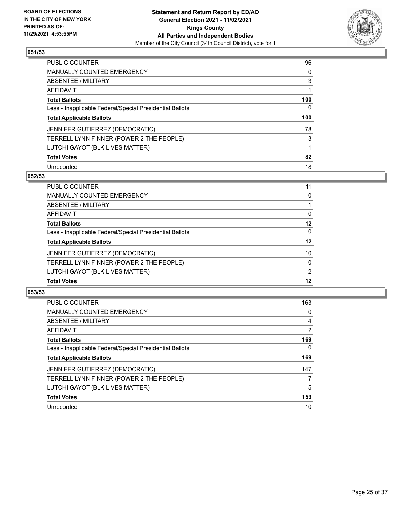

| PUBLIC COUNTER                                           | 96  |
|----------------------------------------------------------|-----|
| <b>MANUALLY COUNTED EMERGENCY</b>                        | 0   |
| ABSENTEE / MILITARY                                      | 3   |
| AFFIDAVIT                                                |     |
| <b>Total Ballots</b>                                     | 100 |
| Less - Inapplicable Federal/Special Presidential Ballots | 0   |
| <b>Total Applicable Ballots</b>                          | 100 |
| JENNIFER GUTIERREZ (DEMOCRATIC)                          | 78  |
| TERRELL LYNN FINNER (POWER 2 THE PEOPLE)                 | 3   |
| LUTCHI GAYOT (BLK LIVES MATTER)                          | 1   |
| <b>Total Votes</b>                                       | 82  |
| Unrecorded                                               | 18  |

#### **052/53**

| PUBLIC COUNTER                                           | 11            |
|----------------------------------------------------------|---------------|
| <b>MANUALLY COUNTED EMERGENCY</b>                        | 0             |
| ABSENTEE / MILITARY                                      |               |
| AFFIDAVIT                                                | 0             |
| <b>Total Ballots</b>                                     | 12            |
| Less - Inapplicable Federal/Special Presidential Ballots | $\Omega$      |
| <b>Total Applicable Ballots</b>                          | 12            |
| <b>JENNIFER GUTIERREZ (DEMOCRATIC)</b>                   | 10            |
| TERRELL LYNN FINNER (POWER 2 THE PEOPLE)                 | $\Omega$      |
| LUTCHI GAYOT (BLK LIVES MATTER)                          | $\mathcal{P}$ |
| <b>Total Votes</b>                                       | 12            |

| <b>PUBLIC COUNTER</b>                                    | 163      |
|----------------------------------------------------------|----------|
| <b>MANUALLY COUNTED EMERGENCY</b>                        | 0        |
| ABSENTEE / MILITARY                                      | 4        |
| AFFIDAVIT                                                | 2        |
| <b>Total Ballots</b>                                     | 169      |
| Less - Inapplicable Federal/Special Presidential Ballots | $\Omega$ |
| <b>Total Applicable Ballots</b>                          | 169      |
| JENNIFER GUTIERREZ (DEMOCRATIC)                          | 147      |
| TERRELL LYNN FINNER (POWER 2 THE PEOPLE)                 |          |
| LUTCHI GAYOT (BLK LIVES MATTER)                          | 5        |
| <b>Total Votes</b>                                       | 159      |
| Unrecorded                                               | 10       |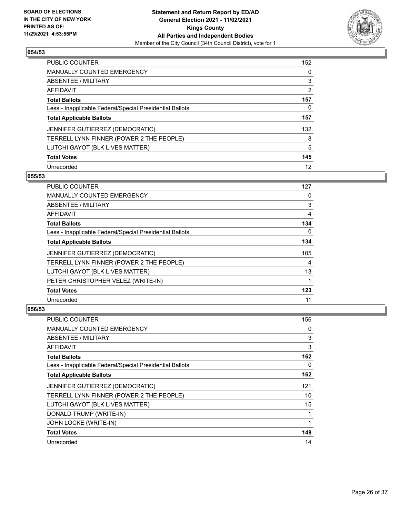

| PUBLIC COUNTER                                           | 152 |
|----------------------------------------------------------|-----|
| <b>MANUALLY COUNTED EMERGENCY</b>                        | 0   |
| ABSENTEE / MILITARY                                      | 3   |
| AFFIDAVIT                                                | 2   |
| <b>Total Ballots</b>                                     | 157 |
| Less - Inapplicable Federal/Special Presidential Ballots | 0   |
| <b>Total Applicable Ballots</b>                          | 157 |
| JENNIFER GUTIERREZ (DEMOCRATIC)                          | 132 |
| TERRELL LYNN FINNER (POWER 2 THE PEOPLE)                 | 8   |
| LUTCHI GAYOT (BLK LIVES MATTER)                          | 5   |
| <b>Total Votes</b>                                       | 145 |
| Unrecorded                                               | 12  |

## **055/53**

| PUBLIC COUNTER                                           | 127      |
|----------------------------------------------------------|----------|
| <b>MANUALLY COUNTED EMERGENCY</b>                        | $\Omega$ |
| ABSENTEE / MILITARY                                      | 3        |
| AFFIDAVIT                                                | 4        |
| <b>Total Ballots</b>                                     | 134      |
| Less - Inapplicable Federal/Special Presidential Ballots | $\Omega$ |
| <b>Total Applicable Ballots</b>                          | 134      |
| JENNIFER GUTIERREZ (DEMOCRATIC)                          | 105      |
| TERRELL LYNN FINNER (POWER 2 THE PEOPLE)                 | 4        |
| LUTCHI GAYOT (BLK LIVES MATTER)                          | 13       |
| PETER CHRISTOPHER VELEZ (WRITE-IN)                       |          |
| <b>Total Votes</b>                                       | 123      |
| Unrecorded                                               | 11       |

| PUBLIC COUNTER                                           | 156 |
|----------------------------------------------------------|-----|
| <b>MANUALLY COUNTED EMERGENCY</b>                        | 0   |
| ABSENTEE / MILITARY                                      | 3   |
| AFFIDAVIT                                                | 3   |
| <b>Total Ballots</b>                                     | 162 |
| Less - Inapplicable Federal/Special Presidential Ballots | 0   |
| <b>Total Applicable Ballots</b>                          | 162 |
| JENNIFER GUTIERREZ (DEMOCRATIC)                          | 121 |
| TERRELL LYNN FINNER (POWER 2 THE PEOPLE)                 | 10  |
| LUTCHI GAYOT (BLK LIVES MATTER)                          | 15  |
| DONALD TRUMP (WRITE-IN)                                  | 1   |
| JOHN LOCKE (WRITE-IN)                                    |     |
| <b>Total Votes</b>                                       | 148 |
| Unrecorded                                               | 14  |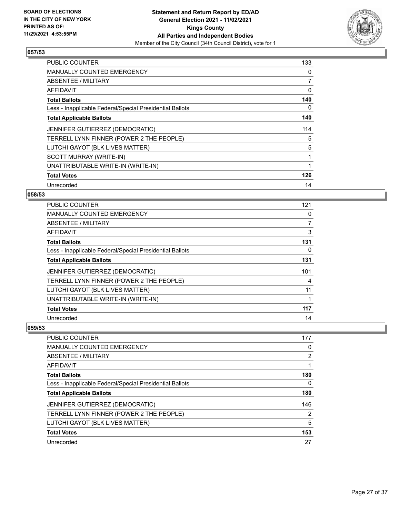

| <b>PUBLIC COUNTER</b>                                    | 133 |
|----------------------------------------------------------|-----|
| <b>MANUALLY COUNTED EMERGENCY</b>                        | 0   |
| ABSENTEE / MILITARY                                      | 7   |
| AFFIDAVIT                                                | 0   |
| <b>Total Ballots</b>                                     | 140 |
| Less - Inapplicable Federal/Special Presidential Ballots | 0   |
| <b>Total Applicable Ballots</b>                          | 140 |
| JENNIFER GUTIERREZ (DEMOCRATIC)                          | 114 |
| TERRELL LYNN FINNER (POWER 2 THE PEOPLE)                 | 5   |
| LUTCHI GAYOT (BLK LIVES MATTER)                          | 5   |
| SCOTT MURRAY (WRITE-IN)                                  | 1   |
| UNATTRIBUTABLE WRITE-IN (WRITE-IN)                       |     |
| <b>Total Votes</b>                                       | 126 |
| Unrecorded                                               | 14  |

# **058/53**

| PUBLIC COUNTER                                           | 121 |
|----------------------------------------------------------|-----|
| MANUALLY COUNTED EMERGENCY                               | 0   |
| ABSENTEE / MILITARY                                      | 7   |
| AFFIDAVIT                                                | 3   |
| <b>Total Ballots</b>                                     | 131 |
| Less - Inapplicable Federal/Special Presidential Ballots | 0   |
| <b>Total Applicable Ballots</b>                          | 131 |
| <b>JENNIFER GUTIERREZ (DEMOCRATIC)</b>                   | 101 |
| TERRELL LYNN FINNER (POWER 2 THE PEOPLE)                 | 4   |
| LUTCHI GAYOT (BLK LIVES MATTER)                          | 11  |
| UNATTRIBUTABLE WRITE-IN (WRITE-IN)                       |     |
| <b>Total Votes</b>                                       | 117 |
| Unrecorded                                               | 14  |

| <b>PUBLIC COUNTER</b>                                    | 177            |
|----------------------------------------------------------|----------------|
| <b>MANUALLY COUNTED EMERGENCY</b>                        | 0              |
| ABSENTEE / MILITARY                                      | $\overline{2}$ |
| AFFIDAVIT                                                |                |
| <b>Total Ballots</b>                                     | 180            |
| Less - Inapplicable Federal/Special Presidential Ballots | 0              |
| <b>Total Applicable Ballots</b>                          | 180            |
| JENNIFER GUTIERREZ (DEMOCRATIC)                          | 146            |
| TERRELL LYNN FINNER (POWER 2 THE PEOPLE)                 | $\overline{2}$ |
| LUTCHI GAYOT (BLK LIVES MATTER)                          | 5              |
| <b>Total Votes</b>                                       | 153            |
| Unrecorded                                               | 27             |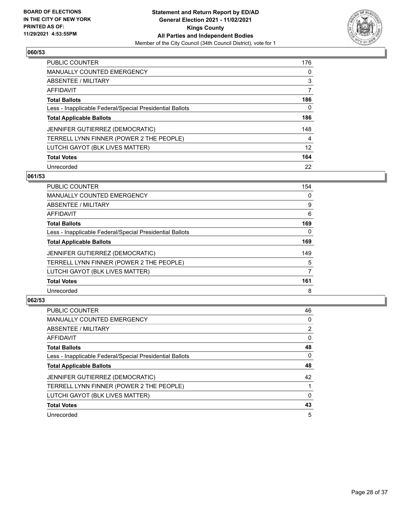

| PUBLIC COUNTER                                           | 176      |
|----------------------------------------------------------|----------|
| <b>MANUALLY COUNTED EMERGENCY</b>                        | $\Omega$ |
| ABSENTEE / MILITARY                                      | 3        |
| AFFIDAVIT                                                | 7        |
| <b>Total Ballots</b>                                     | 186      |
| Less - Inapplicable Federal/Special Presidential Ballots | 0        |
| <b>Total Applicable Ballots</b>                          | 186      |
| JENNIFER GUTIERREZ (DEMOCRATIC)                          | 148      |
| TERRELL LYNN FINNER (POWER 2 THE PEOPLE)                 | 4        |
| LUTCHI GAYOT (BLK LIVES MATTER)                          | 12       |
| <b>Total Votes</b>                                       | 164      |
| Unrecorded                                               | 22       |

#### **061/53**

| <b>PUBLIC COUNTER</b>                                    | 154      |
|----------------------------------------------------------|----------|
| MANUALLY COUNTED EMERGENCY                               | 0        |
| ABSENTEE / MILITARY                                      | 9        |
| <b>AFFIDAVIT</b>                                         | 6        |
| <b>Total Ballots</b>                                     | 169      |
| Less - Inapplicable Federal/Special Presidential Ballots | $\Omega$ |
| <b>Total Applicable Ballots</b>                          | 169      |
| JENNIFER GUTIERREZ (DEMOCRATIC)                          | 149      |
| TERRELL LYNN FINNER (POWER 2 THE PEOPLE)                 | 5        |
| LUTCHI GAYOT (BLK LIVES MATTER)                          | 7        |
| <b>Total Votes</b>                                       | 161      |
| Unrecorded                                               | 8        |

| <b>PUBLIC COUNTER</b>                                    | 46             |
|----------------------------------------------------------|----------------|
| <b>MANUALLY COUNTED EMERGENCY</b>                        | $\Omega$       |
| ABSENTEE / MILITARY                                      | $\overline{2}$ |
| AFFIDAVIT                                                | $\Omega$       |
| <b>Total Ballots</b>                                     | 48             |
| Less - Inapplicable Federal/Special Presidential Ballots | 0              |
| <b>Total Applicable Ballots</b>                          | 48             |
| JENNIFER GUTIERREZ (DEMOCRATIC)                          | 42             |
| TERRELL LYNN FINNER (POWER 2 THE PEOPLE)                 |                |
| LUTCHI GAYOT (BLK LIVES MATTER)                          | $\Omega$       |
| <b>Total Votes</b>                                       | 43             |
| Unrecorded                                               | 5              |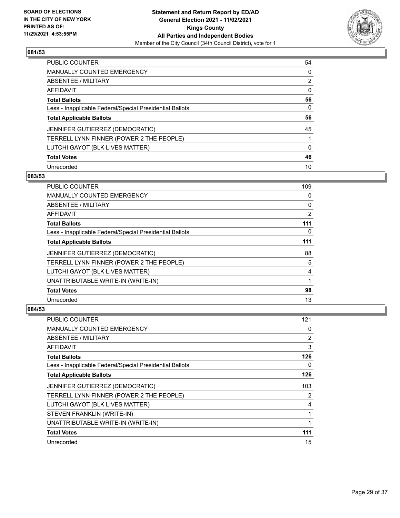

| <b>PUBLIC COUNTER</b>                                    | 54 |
|----------------------------------------------------------|----|
| <b>MANUALLY COUNTED EMERGENCY</b>                        | 0  |
| <b>ABSENTEE / MILITARY</b>                               | 2  |
| AFFIDAVIT                                                | 0  |
| <b>Total Ballots</b>                                     | 56 |
| Less - Inapplicable Federal/Special Presidential Ballots | 0  |
| <b>Total Applicable Ballots</b>                          | 56 |
| JENNIFER GUTIERREZ (DEMOCRATIC)                          | 45 |
| TERRELL LYNN FINNER (POWER 2 THE PEOPLE)                 |    |
| LUTCHI GAYOT (BLK LIVES MATTER)                          | 0  |
| <b>Total Votes</b>                                       | 46 |
| Unrecorded                                               | 10 |

#### **083/53**

| PUBLIC COUNTER                                           | 109      |
|----------------------------------------------------------|----------|
| <b>MANUALLY COUNTED EMERGENCY</b>                        | 0        |
| ABSENTEE / MILITARY                                      | 0        |
| AFFIDAVIT                                                | 2        |
| <b>Total Ballots</b>                                     | 111      |
| Less - Inapplicable Federal/Special Presidential Ballots | $\Omega$ |
| <b>Total Applicable Ballots</b>                          | 111      |
| <b>JENNIFER GUTIERREZ (DEMOCRATIC)</b>                   | 88       |
| TERRELL LYNN FINNER (POWER 2 THE PEOPLE)                 | 5        |
| LUTCHI GAYOT (BLK LIVES MATTER)                          | 4        |
| UNATTRIBUTABLE WRITE-IN (WRITE-IN)                       | 1        |
| <b>Total Votes</b>                                       | 98       |
| Unrecorded                                               | 13       |

| PUBLIC COUNTER                                           | 121 |
|----------------------------------------------------------|-----|
| MANUALLY COUNTED EMERGENCY                               | 0   |
| ABSENTEE / MILITARY                                      | 2   |
| AFFIDAVIT                                                | 3   |
| <b>Total Ballots</b>                                     | 126 |
| Less - Inapplicable Federal/Special Presidential Ballots | 0   |
| <b>Total Applicable Ballots</b>                          | 126 |
| JENNIFER GUTIERREZ (DEMOCRATIC)                          | 103 |
| TERRELL LYNN FINNER (POWER 2 THE PEOPLE)                 | 2   |
| LUTCHI GAYOT (BLK LIVES MATTER)                          | 4   |
| STEVEN FRANKLIN (WRITE-IN)                               | 1   |
| UNATTRIBUTABLE WRITE-IN (WRITE-IN)                       | 1   |
| <b>Total Votes</b>                                       | 111 |
| Unrecorded                                               | 15  |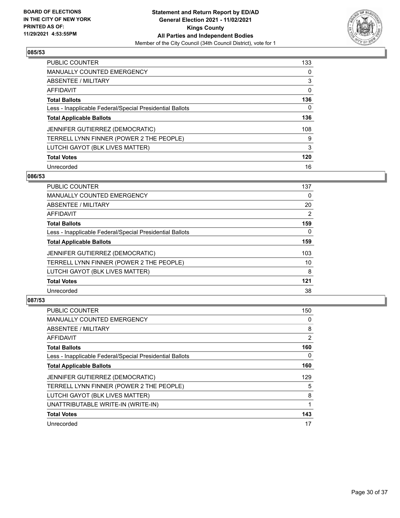

| PUBLIC COUNTER                                           | 133      |
|----------------------------------------------------------|----------|
| MANUALLY COUNTED EMERGENCY                               | $\Omega$ |
| ABSENTEE / MILITARY                                      | 3        |
| AFFIDAVIT                                                | 0        |
| <b>Total Ballots</b>                                     | 136      |
| Less - Inapplicable Federal/Special Presidential Ballots | 0        |
| <b>Total Applicable Ballots</b>                          | 136      |
| JENNIFER GUTIERREZ (DEMOCRATIC)                          | 108      |
| TERRELL LYNN FINNER (POWER 2 THE PEOPLE)                 | 9        |
| LUTCHI GAYOT (BLK LIVES MATTER)                          | 3        |
| <b>Total Votes</b>                                       | 120      |
| Unrecorded                                               | 16       |

#### **086/53**

| <b>PUBLIC COUNTER</b>                                    | 137      |
|----------------------------------------------------------|----------|
| <b>MANUALLY COUNTED EMERGENCY</b>                        | 0        |
| ABSENTEE / MILITARY                                      | 20       |
| <b>AFFIDAVIT</b>                                         | 2        |
| <b>Total Ballots</b>                                     | 159      |
| Less - Inapplicable Federal/Special Presidential Ballots | $\Omega$ |
| <b>Total Applicable Ballots</b>                          | 159      |
| <b>JENNIFER GUTIERREZ (DEMOCRATIC)</b>                   | 103      |
| TERRELL LYNN FINNER (POWER 2 THE PEOPLE)                 | 10       |
| LUTCHI GAYOT (BLK LIVES MATTER)                          | 8        |
| <b>Total Votes</b>                                       | 121      |
| Unrecorded                                               | 38       |

| <b>PUBLIC COUNTER</b>                                    | 150 |
|----------------------------------------------------------|-----|
| <b>MANUALLY COUNTED EMERGENCY</b>                        | 0   |
| ABSENTEE / MILITARY                                      | 8   |
| AFFIDAVIT                                                | 2   |
| <b>Total Ballots</b>                                     | 160 |
| Less - Inapplicable Federal/Special Presidential Ballots | 0   |
| <b>Total Applicable Ballots</b>                          | 160 |
| JENNIFER GUTIERREZ (DEMOCRATIC)                          | 129 |
| TERRELL LYNN FINNER (POWER 2 THE PEOPLE)                 | 5   |
| LUTCHI GAYOT (BLK LIVES MATTER)                          | 8   |
| UNATTRIBUTABLE WRITE-IN (WRITE-IN)                       |     |
| <b>Total Votes</b>                                       | 143 |
| Unrecorded                                               | 17  |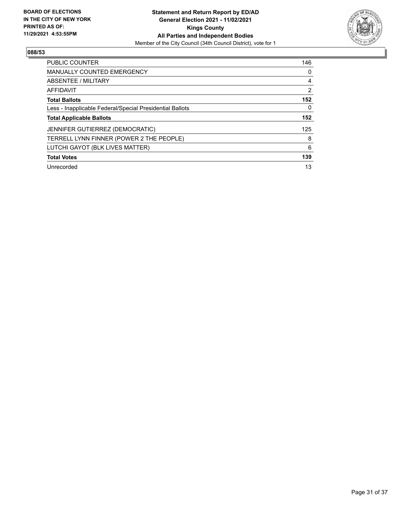

| <b>PUBLIC COUNTER</b>                                    | 146 |
|----------------------------------------------------------|-----|
| <b>MANUALLY COUNTED EMERGENCY</b>                        | 0   |
| ABSENTEE / MILITARY                                      | 4   |
| AFFIDAVIT                                                | 2   |
| <b>Total Ballots</b>                                     | 152 |
| Less - Inapplicable Federal/Special Presidential Ballots | 0   |
| <b>Total Applicable Ballots</b>                          | 152 |
| JENNIFER GUTIERREZ (DEMOCRATIC)                          | 125 |
| TERRELL LYNN FINNER (POWER 2 THE PEOPLE)                 | 8   |
| LUTCHI GAYOT (BLK LIVES MATTER)                          | 6   |
| <b>Total Votes</b>                                       | 139 |
| Unrecorded                                               | 13  |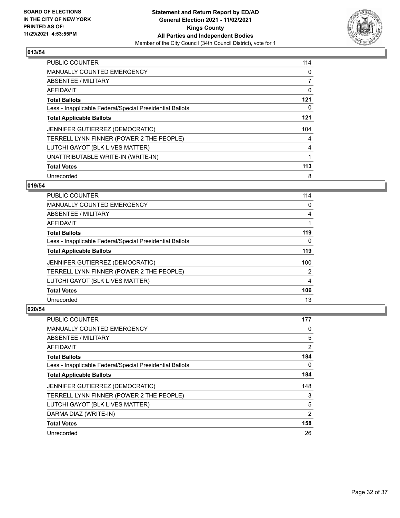

| <b>PUBLIC COUNTER</b>                                    | 114 |
|----------------------------------------------------------|-----|
| MANUALLY COUNTED EMERGENCY                               | 0   |
| ABSENTEE / MILITARY                                      | 7   |
| AFFIDAVIT                                                | 0   |
| <b>Total Ballots</b>                                     | 121 |
| Less - Inapplicable Federal/Special Presidential Ballots | 0   |
| <b>Total Applicable Ballots</b>                          | 121 |
| JENNIFER GUTIERREZ (DEMOCRATIC)                          | 104 |
| TERRELL LYNN FINNER (POWER 2 THE PEOPLE)                 | 4   |
| LUTCHI GAYOT (BLK LIVES MATTER)                          | 4   |
| UNATTRIBUTABLE WRITE-IN (WRITE-IN)                       |     |
| <b>Total Votes</b>                                       | 113 |
| Unrecorded                                               | 8   |

# **019/54**

| <b>PUBLIC COUNTER</b>                                    | 114      |
|----------------------------------------------------------|----------|
| <b>MANUALLY COUNTED EMERGENCY</b>                        | 0        |
| ABSENTEE / MILITARY                                      | 4        |
| <b>AFFIDAVIT</b>                                         |          |
| <b>Total Ballots</b>                                     | 119      |
| Less - Inapplicable Federal/Special Presidential Ballots | $\Omega$ |
| <b>Total Applicable Ballots</b>                          | 119      |
| JENNIFER GUTIERREZ (DEMOCRATIC)                          | 100      |
| TERRELL LYNN FINNER (POWER 2 THE PEOPLE)                 | 2        |
| LUTCHI GAYOT (BLK LIVES MATTER)                          | 4        |
| <b>Total Votes</b>                                       | 106      |
| Unrecorded                                               | 13       |

| PUBLIC COUNTER                                           | 177            |
|----------------------------------------------------------|----------------|
| MANUALLY COUNTED EMERGENCY                               | 0              |
| ABSENTEE / MILITARY                                      | 5              |
| AFFIDAVIT                                                | $\overline{2}$ |
| <b>Total Ballots</b>                                     | 184            |
| Less - Inapplicable Federal/Special Presidential Ballots | 0              |
| <b>Total Applicable Ballots</b>                          | 184            |
| JENNIFER GUTIERREZ (DEMOCRATIC)                          | 148            |
| TERRELL LYNN FINNER (POWER 2 THE PEOPLE)                 | 3              |
| LUTCHI GAYOT (BLK LIVES MATTER)                          | 5              |
| DARMA DIAZ (WRITE-IN)                                    | $\overline{2}$ |
| <b>Total Votes</b>                                       | 158            |
| Unrecorded                                               | 26             |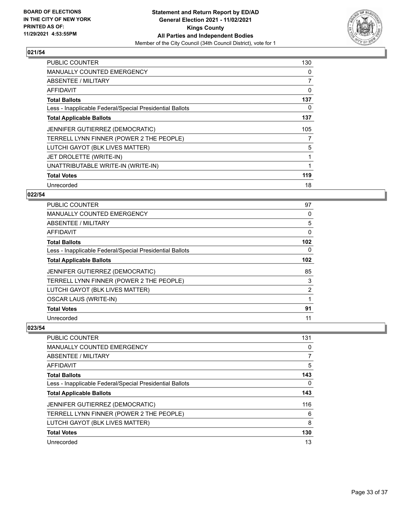

| <b>PUBLIC COUNTER</b>                                    | 130 |
|----------------------------------------------------------|-----|
| <b>MANUALLY COUNTED EMERGENCY</b>                        | 0   |
| ABSENTEE / MILITARY                                      | 7   |
| <b>AFFIDAVIT</b>                                         | 0   |
| <b>Total Ballots</b>                                     | 137 |
| Less - Inapplicable Federal/Special Presidential Ballots | 0   |
| <b>Total Applicable Ballots</b>                          | 137 |
| <b>JENNIFER GUTIERREZ (DEMOCRATIC)</b>                   | 105 |
| TERRELL LYNN FINNER (POWER 2 THE PEOPLE)                 | 7   |
| LUTCHI GAYOT (BLK LIVES MATTER)                          | 5   |
| JET DROLETTE (WRITE-IN)                                  | 1   |
| UNATTRIBUTABLE WRITE-IN (WRITE-IN)                       |     |
| <b>Total Votes</b>                                       | 119 |
| Unrecorded                                               | 18  |

# **022/54**

| <b>PUBLIC COUNTER</b>                                    | 97  |
|----------------------------------------------------------|-----|
| <b>MANUALLY COUNTED EMERGENCY</b>                        | 0   |
| ABSENTEE / MILITARY                                      | 5   |
| AFFIDAVIT                                                | 0   |
| <b>Total Ballots</b>                                     | 102 |
| Less - Inapplicable Federal/Special Presidential Ballots | 0   |
| <b>Total Applicable Ballots</b>                          | 102 |
| JENNIFER GUTIERREZ (DEMOCRATIC)                          | 85  |
| TERRELL LYNN FINNER (POWER 2 THE PEOPLE)                 | 3   |
| LUTCHI GAYOT (BLK LIVES MATTER)                          | 2   |
| <b>OSCAR LAUS (WRITE-IN)</b>                             |     |
| <b>Total Votes</b>                                       | 91  |
| Unrecorded                                               | 11  |

| <b>PUBLIC COUNTER</b>                                    | 131 |
|----------------------------------------------------------|-----|
| <b>MANUALLY COUNTED EMERGENCY</b>                        | 0   |
| ABSENTEE / MILITARY                                      | 7   |
| AFFIDAVIT                                                | 5   |
| <b>Total Ballots</b>                                     | 143 |
| Less - Inapplicable Federal/Special Presidential Ballots | 0   |
| <b>Total Applicable Ballots</b>                          | 143 |
| <b>JENNIFER GUTIERREZ (DEMOCRATIC)</b>                   | 116 |
| TERRELL LYNN FINNER (POWER 2 THE PEOPLE)                 | 6   |
| LUTCHI GAYOT (BLK LIVES MATTER)                          | 8   |
| <b>Total Votes</b>                                       | 130 |
| Unrecorded                                               | 13  |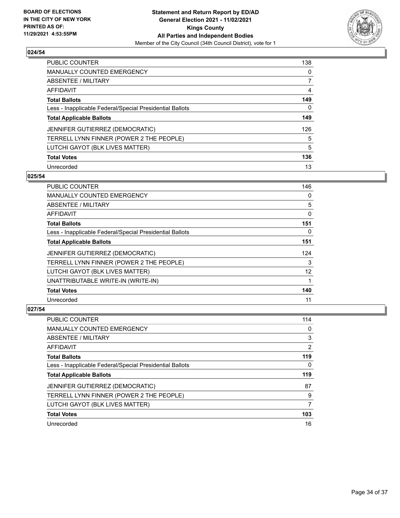

| PUBLIC COUNTER                                           | 138      |
|----------------------------------------------------------|----------|
| MANUALLY COUNTED EMERGENCY                               | $\Omega$ |
| ABSENTEE / MILITARY                                      |          |
| AFFIDAVIT                                                | 4        |
| <b>Total Ballots</b>                                     | 149      |
| Less - Inapplicable Federal/Special Presidential Ballots | 0        |
| <b>Total Applicable Ballots</b>                          | 149      |
| JENNIFER GUTIERREZ (DEMOCRATIC)                          | 126      |
| TERRELL LYNN FINNER (POWER 2 THE PEOPLE)                 | 5        |
| LUTCHI GAYOT (BLK LIVES MATTER)                          | 5        |
| <b>Total Votes</b>                                       | 136      |
| Unrecorded                                               | 13       |

#### **025/54**

| <b>PUBLIC COUNTER</b>                                    | 146      |
|----------------------------------------------------------|----------|
| MANUALLY COUNTED EMERGENCY                               | 0        |
| ABSENTEE / MILITARY                                      | 5        |
| AFFIDAVIT                                                | 0        |
| <b>Total Ballots</b>                                     | 151      |
| Less - Inapplicable Federal/Special Presidential Ballots | $\Omega$ |
| <b>Total Applicable Ballots</b>                          | 151      |
| JENNIFER GUTIERREZ (DEMOCRATIC)                          | 124      |
| TERRELL LYNN FINNER (POWER 2 THE PEOPLE)                 | 3        |
| LUTCHI GAYOT (BLK LIVES MATTER)                          | 12       |
| UNATTRIBUTABLE WRITE-IN (WRITE-IN)                       | 1        |
| <b>Total Votes</b>                                       | 140      |
| Unrecorded                                               | 11       |

| <b>PUBLIC COUNTER</b>                                    | 114 |
|----------------------------------------------------------|-----|
| MANUALLY COUNTED EMERGENCY                               | 0   |
| ABSENTEE / MILITARY                                      | 3   |
| AFFIDAVIT                                                | 2   |
| <b>Total Ballots</b>                                     | 119 |
| Less - Inapplicable Federal/Special Presidential Ballots | 0   |
| <b>Total Applicable Ballots</b>                          | 119 |
|                                                          |     |
| JENNIFER GUTIERREZ (DEMOCRATIC)                          | 87  |
| TERRELL LYNN FINNER (POWER 2 THE PEOPLE)                 | 9   |
| LUTCHI GAYOT (BLK LIVES MATTER)                          | 7   |
| <b>Total Votes</b>                                       | 103 |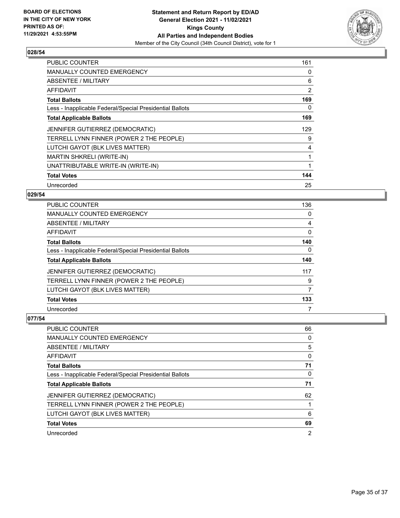

| <b>PUBLIC COUNTER</b>                                    | 161 |
|----------------------------------------------------------|-----|
| MANUALLY COUNTED EMERGENCY                               | 0   |
| ABSENTEE / MILITARY                                      | 6   |
| AFFIDAVIT                                                | 2   |
| <b>Total Ballots</b>                                     | 169 |
| Less - Inapplicable Federal/Special Presidential Ballots | 0   |
| <b>Total Applicable Ballots</b>                          | 169 |
| JENNIFER GUTIERREZ (DEMOCRATIC)                          | 129 |
| TERRELL LYNN FINNER (POWER 2 THE PEOPLE)                 | 9   |
| LUTCHI GAYOT (BLK LIVES MATTER)                          | 4   |
| <b>MARTIN SHKRELI (WRITE-IN)</b>                         | 1   |
| UNATTRIBUTABLE WRITE-IN (WRITE-IN)                       | 1   |
| <b>Total Votes</b>                                       | 144 |
| Unrecorded                                               | 25  |

# **029/54**

| PUBLIC COUNTER                                           | 136 |
|----------------------------------------------------------|-----|
| <b>MANUALLY COUNTED EMERGENCY</b>                        | 0   |
| ABSENTEE / MILITARY                                      | 4   |
| AFFIDAVIT                                                | 0   |
| <b>Total Ballots</b>                                     | 140 |
| Less - Inapplicable Federal/Special Presidential Ballots | 0   |
| <b>Total Applicable Ballots</b>                          | 140 |
| <b>JENNIFER GUTIERREZ (DEMOCRATIC)</b>                   | 117 |
| TERRELL LYNN FINNER (POWER 2 THE PEOPLE)                 | 9   |
| LUTCHI GAYOT (BLK LIVES MATTER)                          | 7   |
| <b>Total Votes</b>                                       | 133 |
| Unrecorded                                               | 7   |

| PUBLIC COUNTER                                           | 66 |
|----------------------------------------------------------|----|
| <b>MANUALLY COUNTED EMERGENCY</b>                        | 0  |
| ABSENTEE / MILITARY                                      | 5  |
| AFFIDAVIT                                                | 0  |
| <b>Total Ballots</b>                                     | 71 |
| Less - Inapplicable Federal/Special Presidential Ballots | 0  |
| <b>Total Applicable Ballots</b>                          | 71 |
| JENNIFER GUTIERREZ (DEMOCRATIC)                          | 62 |
| TERRELL LYNN FINNER (POWER 2 THE PEOPLE)                 |    |
| LUTCHI GAYOT (BLK LIVES MATTER)                          | 6  |
| <b>Total Votes</b>                                       | 69 |
| Unrecorded                                               | 2  |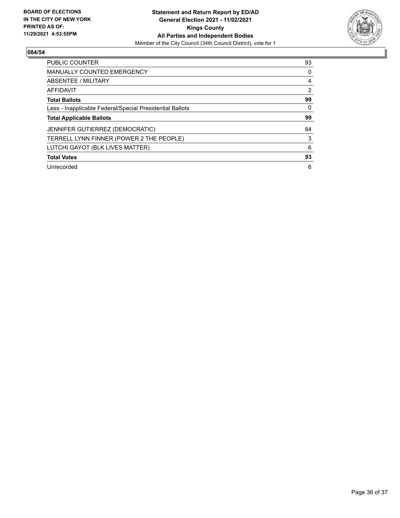

| <b>PUBLIC COUNTER</b>                                    | 93       |
|----------------------------------------------------------|----------|
| <b>MANUALLY COUNTED EMERGENCY</b>                        | $\Omega$ |
| ABSENTEE / MILITARY                                      | 4        |
| <b>AFFIDAVIT</b>                                         | 2        |
| <b>Total Ballots</b>                                     | 99       |
| Less - Inapplicable Federal/Special Presidential Ballots | 0        |
| <b>Total Applicable Ballots</b>                          | 99       |
| JENNIFER GUTIERREZ (DEMOCRATIC)                          | 84       |
| TERRELL LYNN FINNER (POWER 2 THE PEOPLE)                 | 3        |
| LUTCHI GAYOT (BLK LIVES MATTER)                          | 6        |
| <b>Total Votes</b>                                       | 93       |
| Unrecorded                                               | 6        |